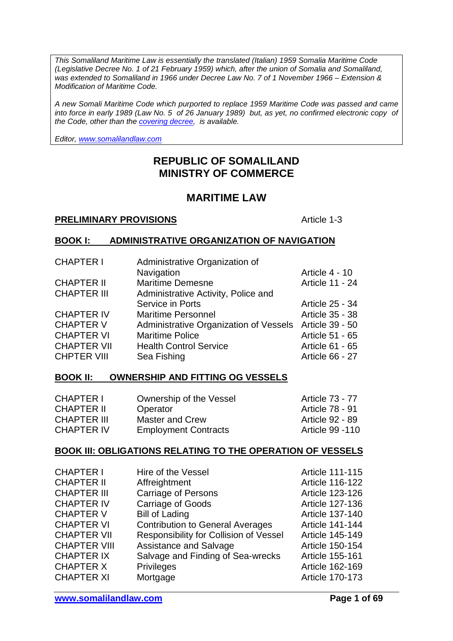*This Somaliland Maritime Law is essentially the translated (Italian) 1959 Somalia Maritime Code (Legislative Decree No. 1 of 21 February 1959) which, after the union of Somalia and Somaliland, was extended to Somaliland in 1966 under Decree Law No. 7 of 1 November 1966 – Extension & Modification of Maritime Code.*

*A new Somali Maritime Code which purported to replace 1959 Maritime Code was passed and came into force in early 1989 (Law No. 5 of 26 January 1989) but, as yet, no confirmed electronic copy of the Code, other than the [covering decree,](http://www.somalilandlaw.com/Maritime_Law_Amendment_1989.pdf) is available.*

*Editor, [www.somalilandlaw.com](http://www.somalilandlaw.com/)*

# **REPUBLIC OF SOMALILAND MINISTRY OF COMMERCE**

# **MARITIME LAW**

#### **PRELIMINARY PROVISIONS** Article 1-3

#### **BOOK I: ADMINISTRATIVE ORGANIZATION OF NAVIGATION**

| <b>CHAPTER I</b>   | Administrative Organization of         |                 |
|--------------------|----------------------------------------|-----------------|
|                    | Navigation                             | Article 4 - 10  |
| <b>CHAPTER II</b>  | <b>Maritime Demesne</b>                | Article 11 - 24 |
| <b>CHAPTER III</b> | Administrative Activity, Police and    |                 |
|                    | Service in Ports                       | Article 25 - 34 |
| <b>CHAPTER IV</b>  | <b>Maritime Personnel</b>              | Article 35 - 38 |
| <b>CHAPTER V</b>   | Administrative Organization of Vessels | Article 39 - 50 |
| <b>CHAPTER VI</b>  | <b>Maritime Police</b>                 | Article 51 - 65 |
| <b>CHAPTER VII</b> | <b>Health Control Service</b>          | Article 61 - 65 |
| <b>CHPTER VIII</b> | Sea Fishing                            | Article 66 - 27 |

#### **BOOK II: OWNERSHIP AND FITTING OG VESSELS**

| Ownership of the Vessel     | Article 73 - 77 |
|-----------------------------|-----------------|
| Operator                    | Article 78 - 91 |
| <b>Master and Crew</b>      | Article 92 - 89 |
| <b>Employment Contracts</b> | Article 99 -110 |
|                             |                 |

### **BOOK III: OBLIGATIONS RELATING TO THE OPERATION OF VESSELS**

| <b>CHAPTER I</b>    | Hire of the Vessel                      | Article 111-115 |
|---------------------|-----------------------------------------|-----------------|
| <b>CHAPTER II</b>   | Affreightment                           | Article 116-122 |
| <b>CHAPTER III</b>  | <b>Carriage of Persons</b>              | Article 123-126 |
| <b>CHAPTER IV</b>   | <b>Carriage of Goods</b>                | Article 127-136 |
| <b>CHAPTER V</b>    | <b>Bill of Lading</b>                   | Article 137-140 |
| <b>CHAPTER VI</b>   | <b>Contribution to General Averages</b> | Article 141-144 |
| <b>CHAPTER VII</b>  | Responsibility for Collision of Vessel  | Article 145-149 |
| <b>CHAPTER VIII</b> | Assistance and Salvage                  | Article 150-154 |
| <b>CHAPTER IX</b>   | Salvage and Finding of Sea-wrecks       | Article 155-161 |
| <b>CHAPTER X</b>    | <b>Privileges</b>                       | Article 162-169 |
| <b>CHAPTER XI</b>   | Mortgage                                | Article 170-173 |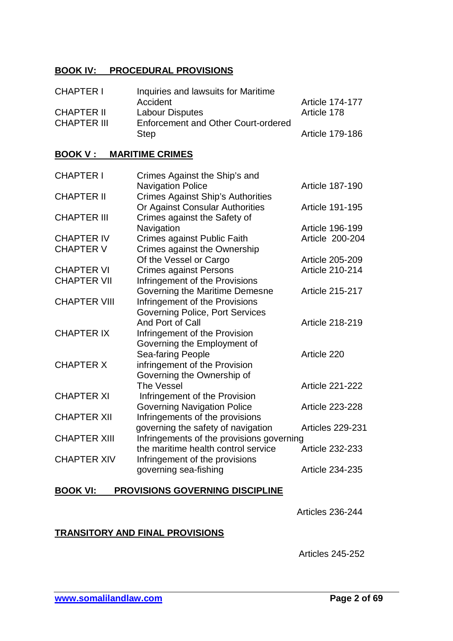### **BOOK IV: PROCEDURAL PROVISIONS**

| <b>CHAPTER I</b>   | Inquiries and lawsuits for Maritime |                        |
|--------------------|-------------------------------------|------------------------|
|                    | Accident                            | <b>Article 174-177</b> |
| <b>CHAPTER II</b>  | <b>Labour Disputes</b>              | Article 178            |
| <b>CHAPTER III</b> | Enforcement and Other Court-ordered |                        |
|                    | <b>Step</b>                         | Article 179-186        |

### **BOOK V : MARITIME CRIMES**

| <b>CHAPTER I</b>    | Crimes Against the Ship's and             |                        |
|---------------------|-------------------------------------------|------------------------|
|                     | <b>Navigation Police</b>                  | <b>Article 187-190</b> |
| <b>CHAPTER II</b>   | <b>Crimes Against Ship's Authorities</b>  |                        |
|                     | Or Against Consular Authorities           | Article 191-195        |
| <b>CHAPTER III</b>  | Crimes against the Safety of              |                        |
|                     | Navigation                                | Article 196-199        |
| <b>CHAPTER IV</b>   | Crimes against Public Faith               | Article 200-204        |
| <b>CHAPTER V</b>    | Crimes against the Ownership              |                        |
|                     | Of the Vessel or Cargo                    | Article 205-209        |
| <b>CHAPTER VI</b>   | <b>Crimes against Persons</b>             | Article 210-214        |
| <b>CHAPTER VII</b>  | Infringement of the Provisions            |                        |
|                     | Governing the Maritime Demesne            | <b>Article 215-217</b> |
| <b>CHAPTER VIII</b> | Infringement of the Provisions            |                        |
|                     | <b>Governing Police, Port Services</b>    |                        |
|                     | And Port of Call                          | Article 218-219        |
| <b>CHAPTER IX</b>   | Infringement of the Provision             |                        |
|                     | Governing the Employment of               |                        |
|                     | Sea-faring People                         | Article 220            |
| <b>CHAPTER X</b>    | infringement of the Provision             |                        |
|                     | Governing the Ownership of                |                        |
|                     | <b>The Vessel</b>                         | <b>Article 221-222</b> |
| <b>CHAPTER XI</b>   | Infringement of the Provision             |                        |
|                     | <b>Governing Navigation Police</b>        | <b>Article 223-228</b> |
| <b>CHAPTER XII</b>  | Infringements of the provisions           |                        |
|                     | governing the safety of navigation        | Articles 229-231       |
| <b>CHAPTER XIII</b> | Infringements of the provisions governing |                        |
|                     | the maritime health control service       | <b>Article 232-233</b> |
| <b>CHAPTER XIV</b>  | Infringement of the provisions            |                        |
|                     | governing sea-fishing                     | Article 234-235        |
|                     |                                           |                        |

# **BOOK VI: PROVISIONS GOVERNING DISCIPLINE**

Articles 236-244

### **TRANSITORY AND FINAL PROVISIONS**

Articles 245-252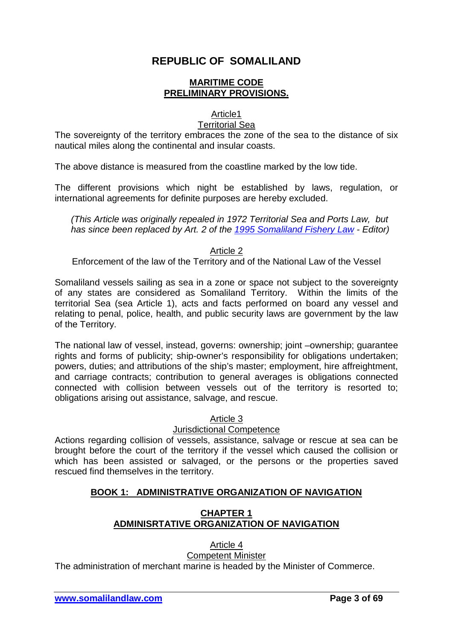# **REPUBLIC OF SOMALILAND**

### **MARITIME CODE PRELIMINARY PROVISIONS.**

### Article1

### Territorial Sea

The sovereignty of the territory embraces the zone of the sea to the distance of six nautical miles along the continental and insular coasts.

The above distance is measured from the coastline marked by the low tide.

The different provisions which night be established by laws, regulation, or international agreements for definite purposes are hereby excluded.

*(This Article was originally repealed in 1972 Territorial Sea and Ports Law, but has since been replaced by Art. 2 of the [1995 Somaliland Fishery Law](http://www.somalilandlaw.com/somaliland_fishery_law.html) - Editor)*

Article 2

Enforcement of the law of the Territory and of the National Law of the Vessel

Somaliland vessels sailing as sea in a zone or space not subject to the sovereignty of any states are considered as Somaliland Territory. Within the limits of the territorial Sea (sea Article 1), acts and facts performed on board any vessel and relating to penal, police, health, and public security laws are government by the law of the Territory.

The national law of vessel, instead, governs: ownership; joint –ownership; guarantee rights and forms of publicity; ship-owner's responsibility for obligations undertaken; powers, duties; and attributions of the ship's master; employment, hire affreightment, and carriage contracts; contribution to general averages is obligations connected connected with collision between vessels out of the territory is resorted to; obligations arising out assistance, salvage, and rescue.

Article 3

### Jurisdictional Competence

Actions regarding collision of vessels, assistance, salvage or rescue at sea can be brought before the court of the territory if the vessel which caused the collision or which has been assisted or salvaged, or the persons or the properties saved rescued find themselves in the territory.

# **BOOK 1: ADMINISTRATIVE ORGANIZATION OF NAVIGATION**

# **CHAPTER 1 ADMINISRTATIVE ORGANIZATION OF NAVIGATION**

Article 4 Competent Minister

The administration of merchant marine is headed by the Minister of Commerce.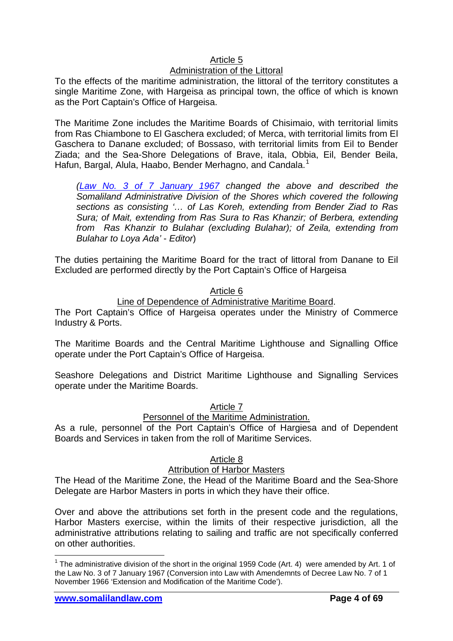### Article 5

# Administration of the Littoral

To the effects of the maritime administration, the littoral of the territory constitutes a single Maritime Zone, with Hargeisa as principal town, the office of which is known as the Port Captain's Office of Hargeisa.

The Maritime Zone includes the Maritime Boards of Chisimaio, with territorial limits from Ras Chiambone to El Gaschera excluded; of Merca, with territorial limits from El Gaschera to Danane excluded; of Bossaso, with territorial limits from Eil to Bender Ziada; and the Sea-Shore Delegations of Brave, itala, Obbia, Eil, Bender Beila, Hafun, Bargal, Alula, Haabo, Bender Merhagno, and Candala.<sup>[1](#page-3-0)</sup>

*[\(Law No. 3 of 7 January 1967](http://www.somalilandlaw.com/Maritime_Code_1959_Extension_Law_1967.pdf) changed the above and described the Somaliland Administrative Division of the Shores which covered the following sections as consisting '… of Las Koreh, extending from Bender Ziad to Ras Sura; of Mait, extending from Ras Sura to Ras Khanzir; of Berbera, extending from Ras Khanzir to Bulahar (excluding Bulahar); of Zeila, extending from Bulahar to Loya Ada'* - *Editor*)

The duties pertaining the Maritime Board for the tract of littoral from Danane to Eil Excluded are performed directly by the Port Captain's Office of Hargeisa

#### Article 6

### Line of Dependence of Administrative Maritime Board.

The Port Captain's Office of Hargeisa operates under the Ministry of Commerce Industry & Ports.

The Maritime Boards and the Central Maritime Lighthouse and Signalling Office operate under the Port Captain's Office of Hargeisa.

Seashore Delegations and District Maritime Lighthouse and Signalling Services operate under the Maritime Boards.

### Article 7

### Personnel of the Maritime Administration.

As a rule, personnel of the Port Captain's Office of Hargiesa and of Dependent Boards and Services in taken from the roll of Maritime Services.

### Article 8

### **Attribution of Harbor Masters**

The Head of the Maritime Zone, the Head of the Maritime Board and the Sea-Shore Delegate are Harbor Masters in ports in which they have their office.

Over and above the attributions set forth in the present code and the regulations, Harbor Masters exercise, within the limits of their respective jurisdiction, all the administrative attributions relating to sailing and traffic are not specifically conferred on other authorities.

<span id="page-3-0"></span><sup>&</sup>lt;sup>1</sup> The administrative division of the short in the original 1959 Code (Art. 4) were amended by Art. 1 of the Law No. 3 of 7 January 1967 (Conversion into Law with Amendemnts of Decree Law No. 7 of 1 November 1966 'Extension and Modification of the Maritime Code').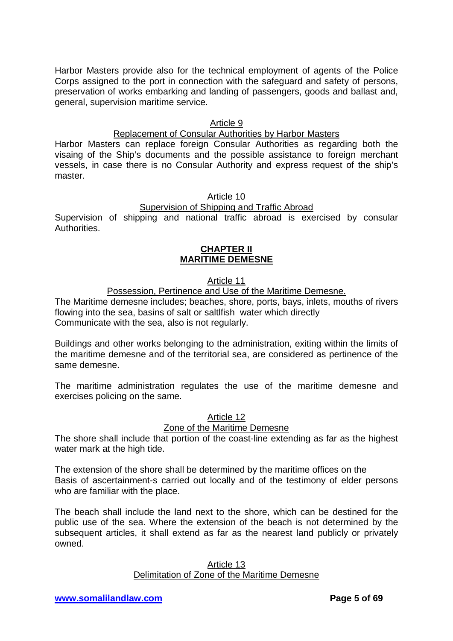Harbor Masters provide also for the technical employment of agents of the Police Corps assigned to the port in connection with the safeguard and safety of persons, preservation of works embarking and landing of passengers, goods and ballast and, general, supervision maritime service.

### Article 9

### Replacement of Consular Authorities by Harbor Masters

Harbor Masters can replace foreign Consular Authorities as regarding both the visaing of the Ship's documents and the possible assistance to foreign merchant vessels, in case there is no Consular Authority and express request of the ship's master.

#### Article 10

# Supervision of Shipping and Traffic Abroad

Supervision of shipping and national traffic abroad is exercised by consular Authorities.

### **CHAPTER II MARITIME DEMESNE**

### Article 11

### Possession, Pertinence and Use of the Maritime Demesne.

The Maritime demesne includes; beaches, shore, ports, bays, inlets, mouths of rivers flowing into the sea, basins of salt or saltlfish water which directly Communicate with the sea, also is not regularly.

Buildings and other works belonging to the administration, exiting within the limits of the maritime demesne and of the territorial sea, are considered as pertinence of the same demesne.

The maritime administration regulates the use of the maritime demesne and exercises policing on the same.

# Article 12

### Zone of the Maritime Demesne

The shore shall include that portion of the coast-line extending as far as the highest water mark at the high tide.

The extension of the shore shall be determined by the maritime offices on the Basis of ascertainment-s carried out locally and of the testimony of elder persons who are familiar with the place.

The beach shall include the land next to the shore, which can be destined for the public use of the sea. Where the extension of the beach is not determined by the subsequent articles, it shall extend as far as the nearest land publicly or privately owned.

#### Article 13 Delimitation of Zone of the Maritime Demesne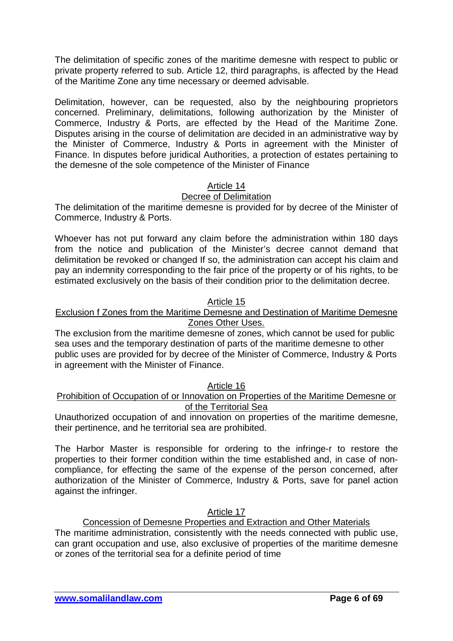The delimitation of specific zones of the maritime demesne with respect to public or private property referred to sub. Article 12, third paragraphs, is affected by the Head of the Maritime Zone any time necessary or deemed advisable.

Delimitation, however, can be requested, also by the neighbouring proprietors concerned. Preliminary, delimitations, following authorization by the Minister of Commerce, Industry & Ports, are effected by the Head of the Maritime Zone. Disputes arising in the course of delimitation are decided in an administrative way by the Minister of Commerce, Industry & Ports in agreement with the Minister of Finance. In disputes before juridical Authorities, a protection of estates pertaining to the demesne of the sole competence of the Minister of Finance

### Article 14

### Decree of Delimitation

The delimitation of the maritime demesne is provided for by decree of the Minister of Commerce, Industry & Ports.

Whoever has not put forward any claim before the administration within 180 days from the notice and publication of the Minister's decree cannot demand that delimitation be revoked or changed If so, the administration can accept his claim and pay an indemnity corresponding to the fair price of the property or of his rights, to be estimated exclusively on the basis of their condition prior to the delimitation decree.

### Article 15

### Exclusion f Zones from the Maritime Demesne and Destination of Maritime Demesne Zones Other Uses.

The exclusion from the maritime demesne of zones, which cannot be used for public sea uses and the temporary destination of parts of the maritime demesne to other public uses are provided for by decree of the Minister of Commerce, Industry & Ports in agreement with the Minister of Finance.

#### Article 16

### Prohibition of Occupation of or Innovation on Properties of the Maritime Demesne or of the Territorial Sea

Unauthorized occupation of and innovation on properties of the maritime demesne, their pertinence, and he territorial sea are prohibited.

The Harbor Master is responsible for ordering to the infringe-r to restore the properties to their former condition within the time established and, in case of noncompliance, for effecting the same of the expense of the person concerned, after authorization of the Minister of Commerce, Industry & Ports, save for panel action against the infringer.

### Article 17

Concession of Demesne Properties and Extraction and Other Materials The maritime administration, consistently with the needs connected with public use, can grant occupation and use, also exclusive of properties of the maritime demesne or zones of the territorial sea for a definite period of time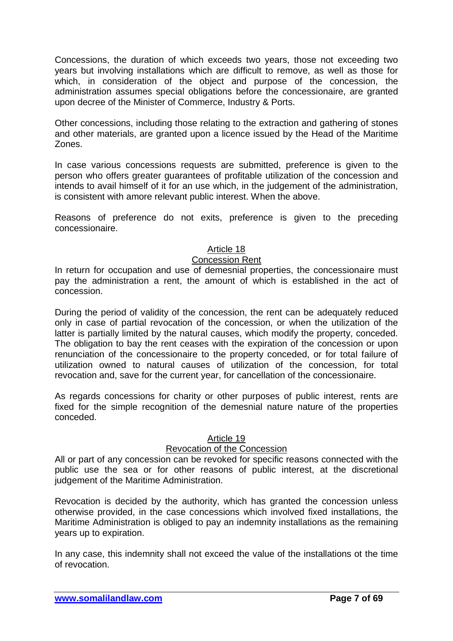Concessions, the duration of which exceeds two years, those not exceeding two years but involving installations which are difficult to remove, as well as those for which, in consideration of the object and purpose of the concession, the administration assumes special obligations before the concessionaire, are granted upon decree of the Minister of Commerce, Industry & Ports.

Other concessions, including those relating to the extraction and gathering of stones and other materials, are granted upon a licence issued by the Head of the Maritime Zones.

In case various concessions requests are submitted, preference is given to the person who offers greater guarantees of profitable utilization of the concession and intends to avail himself of it for an use which, in the judgement of the administration, is consistent with amore relevant public interest. When the above.

Reasons of preference do not exits, preference is given to the preceding concessionaire.

### Article 18

#### Concession Rent

In return for occupation and use of demesnial properties, the concessionaire must pay the administration a rent, the amount of which is established in the act of concession.

During the period of validity of the concession, the rent can be adequately reduced only in case of partial revocation of the concession, or when the utilization of the latter is partially limited by the natural causes, which modify the property, conceded. The obligation to bay the rent ceases with the expiration of the concession or upon renunciation of the concessionaire to the property conceded, or for total failure of utilization owned to natural causes of utilization of the concession, for total revocation and, save for the current year, for cancellation of the concessionaire.

As regards concessions for charity or other purposes of public interest, rents are fixed for the simple recognition of the demesnial nature nature of the properties conceded.

#### Article 19

### Revocation of the Concession

All or part of any concession can be revoked for specific reasons connected with the public use the sea or for other reasons of public interest, at the discretional judgement of the Maritime Administration.

Revocation is decided by the authority, which has granted the concession unless otherwise provided, in the case concessions which involved fixed installations, the Maritime Administration is obliged to pay an indemnity installations as the remaining years up to expiration.

In any case, this indemnity shall not exceed the value of the installations ot the time of revocation.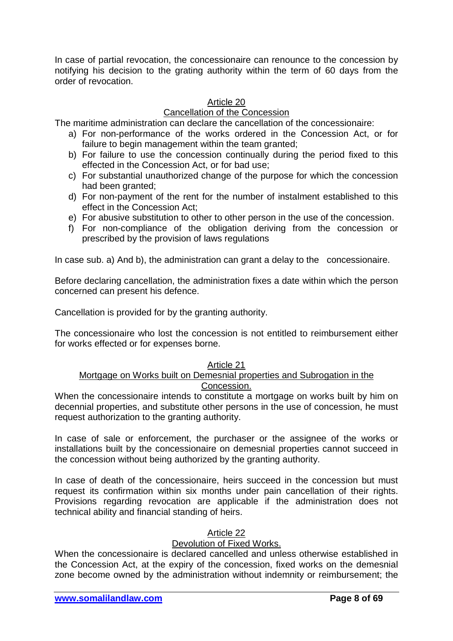In case of partial revocation, the concessionaire can renounce to the concession by notifying his decision to the grating authority within the term of 60 days from the order of revocation.

### Article 20

### Cancellation of the Concession

The maritime administration can declare the cancellation of the concessionaire:

- a) For non-performance of the works ordered in the Concession Act, or for failure to begin management within the team granted;
- b) For failure to use the concession continually during the period fixed to this effected in the Concession Act, or for bad use;
- c) For substantial unauthorized change of the purpose for which the concession had been granted;
- d) For non-payment of the rent for the number of instalment established to this effect in the Concession Act;
- e) For abusive substitution to other to other person in the use of the concession.
- f) For non-compliance of the obligation deriving from the concession or prescribed by the provision of laws regulations

In case sub. a) And b), the administration can grant a delay to the concessionaire.

Before declaring cancellation, the administration fixes a date within which the person concerned can present his defence.

Cancellation is provided for by the granting authority.

The concessionaire who lost the concession is not entitled to reimbursement either for works effected or for expenses borne.

#### Article 21

### Mortgage on Works built on Demesnial properties and Subrogation in the Concession.

When the concessionaire intends to constitute a mortgage on works built by him on decennial properties, and substitute other persons in the use of concession, he must request authorization to the granting authority.

In case of sale or enforcement, the purchaser or the assignee of the works or installations built by the concessionaire on demesnial properties cannot succeed in the concession without being authorized by the granting authority.

In case of death of the concessionaire, heirs succeed in the concession but must request its confirmation within six months under pain cancellation of their rights. Provisions regarding revocation are applicable if the administration does not technical ability and financial standing of heirs.

#### Article 22

#### Devolution of Fixed Works.

When the concessionaire is declared cancelled and unless otherwise established in the Concession Act, at the expiry of the concession, fixed works on the demesnial zone become owned by the administration without indemnity or reimbursement; the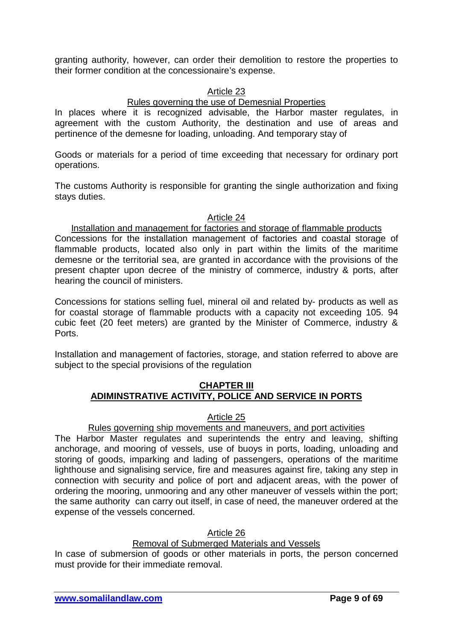granting authority, however, can order their demolition to restore the properties to their former condition at the concessionaire's expense.

### Article 23

# Rules governing the use of Demesnial Properties

In places where it is recognized advisable, the Harbor master regulates, in agreement with the custom Authority, the destination and use of areas and pertinence of the demesne for loading, unloading. And temporary stay of

Goods or materials for a period of time exceeding that necessary for ordinary port operations.

The customs Authority is responsible for granting the single authorization and fixing stays duties.

### Article 24

Installation and management for factories and storage of flammable products Concessions for the installation management of factories and coastal storage of flammable products, located also only in part within the limits of the maritime demesne or the territorial sea, are granted in accordance with the provisions of the present chapter upon decree of the ministry of commerce, industry & ports, after hearing the council of ministers.

Concessions for stations selling fuel, mineral oil and related by- products as well as for coastal storage of flammable products with a capacity not exceeding 105. 94 cubic feet (20 feet meters) are granted by the Minister of Commerce, industry & Ports.

Installation and management of factories, storage, and station referred to above are subject to the special provisions of the regulation

### **CHAPTER III ADIMINSTRATIVE ACTIVITY, POLICE AND SERVICE IN PORTS**

### Article 25

### Rules governing ship movements and maneuvers, and port activities

The Harbor Master regulates and superintends the entry and leaving, shifting anchorage, and mooring of vessels, use of buoys in ports, loading, unloading and storing of goods, imparking and lading of passengers, operations of the maritime lighthouse and signalising service, fire and measures against fire, taking any step in connection with security and police of port and adjacent areas, with the power of ordering the mooring, unmooring and any other maneuver of vessels within the port; the same authority can carry out itself, in case of need, the maneuver ordered at the expense of the vessels concerned.

Article 26

#### Removal of Submerged Materials and Vessels

In case of submersion of goods or other materials in ports, the person concerned must provide for their immediate removal.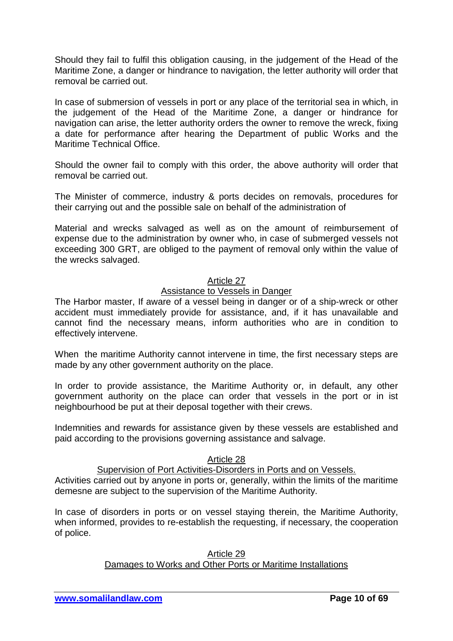Should they fail to fulfil this obligation causing, in the judgement of the Head of the Maritime Zone, a danger or hindrance to navigation, the letter authority will order that removal be carried out.

In case of submersion of vessels in port or any place of the territorial sea in which, in the judgement of the Head of the Maritime Zone, a danger or hindrance for navigation can arise, the letter authority orders the owner to remove the wreck, fixing a date for performance after hearing the Department of public Works and the Maritime Technical Office.

Should the owner fail to comply with this order, the above authority will order that removal be carried out.

The Minister of commerce, industry & ports decides on removals, procedures for their carrying out and the possible sale on behalf of the administration of

Material and wrecks salvaged as well as on the amount of reimbursement of expense due to the administration by owner who, in case of submerged vessels not exceeding 300 GRT, are obliged to the payment of removal only within the value of the wrecks salvaged.

### Article 27

### Assistance to Vessels in Danger

The Harbor master, If aware of a vessel being in danger or of a ship-wreck or other accident must immediately provide for assistance, and, if it has unavailable and cannot find the necessary means, inform authorities who are in condition to effectively intervene.

When the maritime Authority cannot intervene in time, the first necessary steps are made by any other government authority on the place.

In order to provide assistance, the Maritime Authority or, in default, any other government authority on the place can order that vessels in the port or in ist neighbourhood be put at their deposal together with their crews.

Indemnities and rewards for assistance given by these vessels are established and paid according to the provisions governing assistance and salvage.

### Article 28

# Supervision of Port Activities-Disorders in Ports and on Vessels.

Activities carried out by anyone in ports or, generally, within the limits of the maritime demesne are subject to the supervision of the Maritime Authority.

In case of disorders in ports or on vessel staying therein, the Maritime Authority, when informed, provides to re-establish the requesting, if necessary, the cooperation of police.

#### Article 29 Damages to Works and Other Ports or Maritime Installations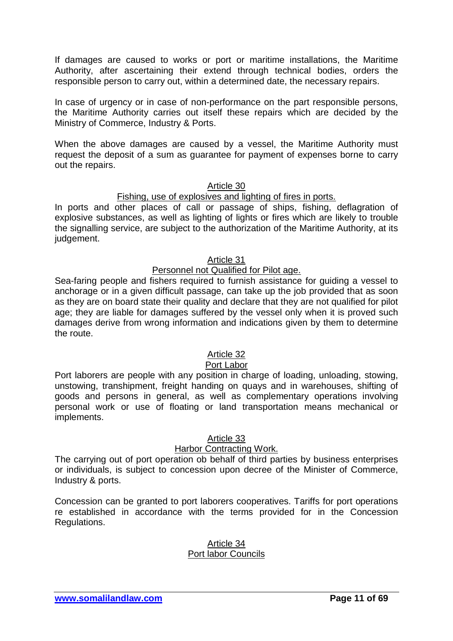If damages are caused to works or port or maritime installations, the Maritime Authority, after ascertaining their extend through technical bodies, orders the responsible person to carry out, within a determined date, the necessary repairs.

In case of urgency or in case of non-performance on the part responsible persons, the Maritime Authority carries out itself these repairs which are decided by the Ministry of Commerce, Industry & Ports.

When the above damages are caused by a vessel, the Maritime Authority must request the deposit of a sum as guarantee for payment of expenses borne to carry out the repairs.

#### Article 30

#### Fishing, use of explosives and lighting of fires in ports.

In ports and other places of call or passage of ships, fishing, deflagration of explosive substances, as well as lighting of lights or fires which are likely to trouble the signalling service, are subject to the authorization of the Maritime Authority, at its judgement.

### Article 31

### Personnel not Qualified for Pilot age.

Sea-faring people and fishers required to furnish assistance for guiding a vessel to anchorage or in a given difficult passage, can take up the job provided that as soon as they are on board state their quality and declare that they are not qualified for pilot age; they are liable for damages suffered by the vessel only when it is proved such damages derive from wrong information and indications given by them to determine the route.

### Article 32

#### Port Labor

Port laborers are people with any position in charge of loading, unloading, stowing, unstowing, transhipment, freight handing on quays and in warehouses, shifting of goods and persons in general, as well as complementary operations involving personal work or use of floating or land transportation means mechanical or implements.

#### Article 33

#### Harbor Contracting Work.

The carrying out of port operation ob behalf of third parties by business enterprises or individuals, is subject to concession upon decree of the Minister of Commerce, Industry & ports.

Concession can be granted to port laborers cooperatives. Tariffs for port operations re established in accordance with the terms provided for in the Concession Regulations.

#### Article 34 Port labor Councils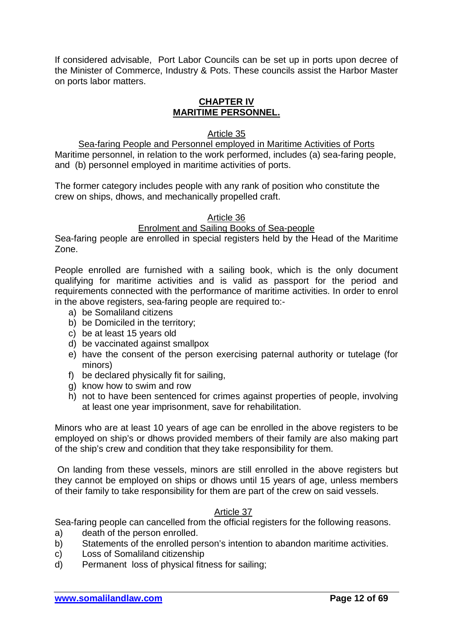If considered advisable, Port Labor Councils can be set up in ports upon decree of the Minister of Commerce, Industry & Pots. These councils assist the Harbor Master on ports labor matters.

# **CHAPTER IV MARITIME PERSONNEL.**

Article 35

Sea-faring People and Personnel employed in Maritime Activities of Ports Maritime personnel, in relation to the work performed, includes (a) sea-faring people, and (b) personnel employed in maritime activities of ports.

The former category includes people with any rank of position who constitute the crew on ships, dhows, and mechanically propelled craft.

Article 36

# Enrolment and Sailing Books of Sea-people

Sea-faring people are enrolled in special registers held by the Head of the Maritime Zone.

People enrolled are furnished with a sailing book, which is the only document qualifying for maritime activities and is valid as passport for the period and requirements connected with the performance of maritime activities. In order to enrol in the above registers, sea-faring people are required to:-

- a) be Somaliland citizens
- b) be Domiciled in the territory;
- c) be at least 15 years old
- d) be vaccinated against smallpox
- e) have the consent of the person exercising paternal authority or tutelage (for minors)
- f) be declared physically fit for sailing,
- g) know how to swim and row
- h) not to have been sentenced for crimes against properties of people, involving at least one year imprisonment, save for rehabilitation.

Minors who are at least 10 years of age can be enrolled in the above registers to be employed on ship's or dhows provided members of their family are also making part of the ship's crew and condition that they take responsibility for them.

On landing from these vessels, minors are still enrolled in the above registers but they cannot be employed on ships or dhows until 15 years of age, unless members of their family to take responsibility for them are part of the crew on said vessels.

# Article 37

Sea-faring people can cancelled from the official registers for the following reasons.

- a) death of the person enrolled.
- b) Statements of the enrolled person's intention to abandon maritime activities.
- c) Loss of Somaliland citizenship
- d) Permanent loss of physical fitness for sailing;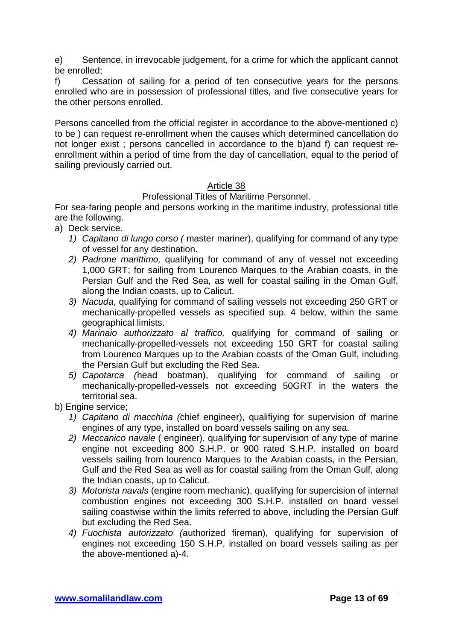e) Sentence, in irrevocable judgement, for a crime for which the applicant cannot be enrolled;

f) Cessation of sailing for a period of ten consecutive years for the persons enrolled who are in possession of professional titles, and five consecutive years for the other persons enrolled.

Persons cancelled from the official register in accordance to the above-mentioned c) to be ) can request re-enrollment when the causes which determined cancellation do not longer exist ; persons cancelled in accordance to the b)and f) can request reenrollment within a period of time from the day of cancellation, equal to the period of sailing previously carried out.

### Article 38

# Professional Titles of Maritime Personnel.

For sea-faring people and persons working in the maritime industry, professional title are the following.

- a) Deck service.
	- *1) Capitano di lungo corso (* master mariner), qualifying for command of any type of vessel for any destination.
	- *2) Padrone marittimo,* qualifying for command of any of vessel not exceeding 1,000 GRT; for sailing from Lourenco Marques to the Arabian coasts, in the Persian Gulf and the Red Sea, as well for coastal sailing in the Oman Gulf, along the Indian coasts, up to Calicut.
	- *3) Nacuda*, qualifying for command of sailing vessels not exceeding 250 GRT or mechanically-propelled vessels as specified sup. 4 below, within the same geographical limists.
	- *4) Marinaio authorizzato al traffico,* qualifying for command of sailing or mechanically-propelled-vessels not exceeding 150 GRT for coastal sailing from Lourenco Marques up to the Arabian coasts of the Oman Gulf, including the Persian Gulf but excluding the Red Sea.
	- *5) Capotarca (*head boatman), qualifying for command of sailing or mechanically-propelled-vessels not exceeding 50GRT in the waters the territorial sea.

b) Engine service;

- *1) Capitano di macchina (*chief engineer), qualifiying for supervision of marine engines of any type, installed on board vessels sailing on any sea.
- *2) Meccanico navale* ( engineer), qualifying for supervision of any type of marine engine not exceeding 800 S.H.P. or 900 rated S.H.P. installed on board vessels sailing from lourenco Marques to the Arabian coasts, in the Persian, Gulf and the Red Sea as well as for coastal sailing from the Oman Gulf, along the Indian coasts, up to Calicut.
- *3) Motorista navals* (engine room mechanic), qualifying for supercision of internal combustion engines not exceeding 300 S.H.P. installed on board vessel sailing coastwise within the limits referred to above, including the Persian Gulf but excluding the Red Sea.
- *4) Fuochista autorizzato (*authorized fireman), qualifying for supervision of engines not exceeding 150 S.H.P, installed on board vessels sailing as per the above-mentioned a)-4.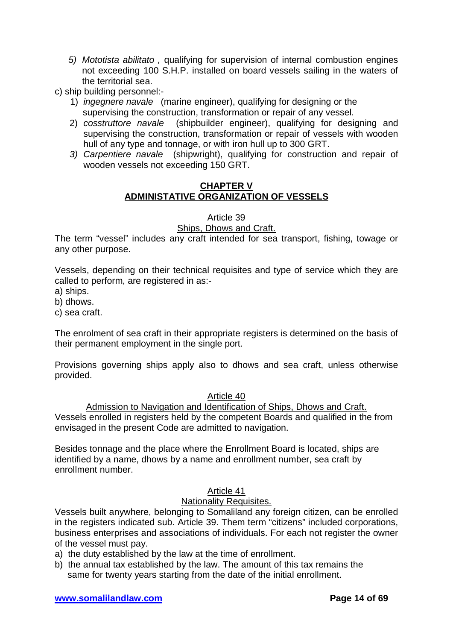- *5) Mototista abilitato ,* qualifying for supervision of internal combustion engines not exceeding 100 S.H.P. installed on board vessels sailing in the waters of the territorial sea.
- c) ship building personnel:-
	- 1) *ingegnere navale* (marine engineer), qualifying for designing or the supervising the construction, transformation or repair of any vessel.
	- 2) *cosstruttore navale* (shipbuilder engineer), qualifying for designing and supervising the construction, transformation or repair of vessels with wooden hull of any type and tonnage, or with iron hull up to 300 GRT.
	- *3) Carpentiere navale* (shipwright), qualifying for construction and repair of wooden vessels not exceeding 150 GRT.

### **CHAPTER V ADMINISTATIVE ORGANIZATION OF VESSELS**

### Article 39

### Ships, Dhows and Craft.

The term "vessel" includes any craft intended for sea transport, fishing, towage or any other purpose.

Vessels, depending on their technical requisites and type of service which they are called to perform, are registered in as:-

a) ships.

b) dhows.

c) sea craft.

The enrolment of sea craft in their appropriate registers is determined on the basis of their permanent employment in the single port.

Provisions governing ships apply also to dhows and sea craft, unless otherwise provided.

### Article 40

Admission to Navigation and Identification of Ships, Dhows and Craft. Vessels enrolled in registers held by the competent Boards and qualified in the from envisaged in the present Code are admitted to navigation.

Besides tonnage and the place where the Enrollment Board is located, ships are identified by a name, dhows by a name and enrollment number, sea craft by enrollment number.

### Article 41

### Nationality Requisites.

Vessels built anywhere, belonging to Somaliland any foreign citizen, can be enrolled in the registers indicated sub. Article 39. Them term "citizens" included corporations, business enterprises and associations of individuals. For each not register the owner of the vessel must pay.

- a) the duty established by the law at the time of enrollment.
- b) the annual tax established by the law. The amount of this tax remains the same for twenty years starting from the date of the initial enrollment.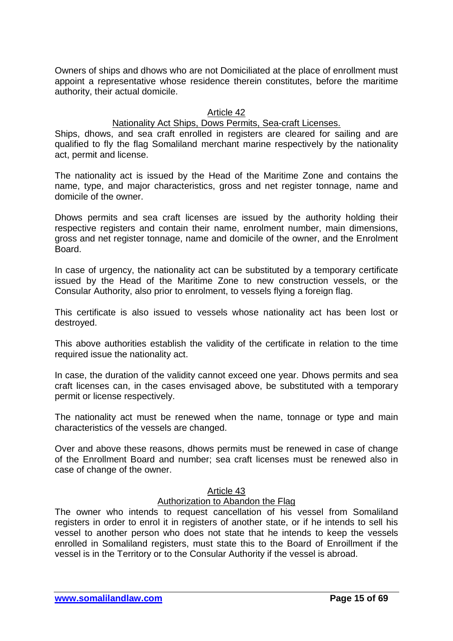Owners of ships and dhows who are not Domiciliated at the place of enrollment must appoint a representative whose residence therein constitutes, before the maritime authority, their actual domicile.

### Article 42

### Nationality Act Ships, Dows Permits, Sea-craft Licenses.

Ships, dhows, and sea craft enrolled in registers are cleared for sailing and are qualified to fly the flag Somaliland merchant marine respectively by the nationality act, permit and license.

The nationality act is issued by the Head of the Maritime Zone and contains the name, type, and major characteristics, gross and net register tonnage, name and domicile of the owner.

Dhows permits and sea craft licenses are issued by the authority holding their respective registers and contain their name, enrolment number, main dimensions, gross and net register tonnage, name and domicile of the owner, and the Enrolment Board.

In case of urgency, the nationality act can be substituted by a temporary certificate issued by the Head of the Maritime Zone to new construction vessels, or the Consular Authority, also prior to enrolment, to vessels flying a foreign flag.

This certificate is also issued to vessels whose nationality act has been lost or destroyed.

This above authorities establish the validity of the certificate in relation to the time required issue the nationality act.

In case, the duration of the validity cannot exceed one year. Dhows permits and sea craft licenses can, in the cases envisaged above, be substituted with a temporary permit or license respectively.

The nationality act must be renewed when the name, tonnage or type and main characteristics of the vessels are changed.

Over and above these reasons, dhows permits must be renewed in case of change of the Enrollment Board and number; sea craft licenses must be renewed also in case of change of the owner.

#### Article 43

### Authorization to Abandon the Flag

The owner who intends to request cancellation of his vessel from Somaliland registers in order to enrol it in registers of another state, or if he intends to sell his vessel to another person who does not state that he intends to keep the vessels enrolled in Somaliland registers, must state this to the Board of Enroillment if the vessel is in the Territory or to the Consular Authority if the vessel is abroad.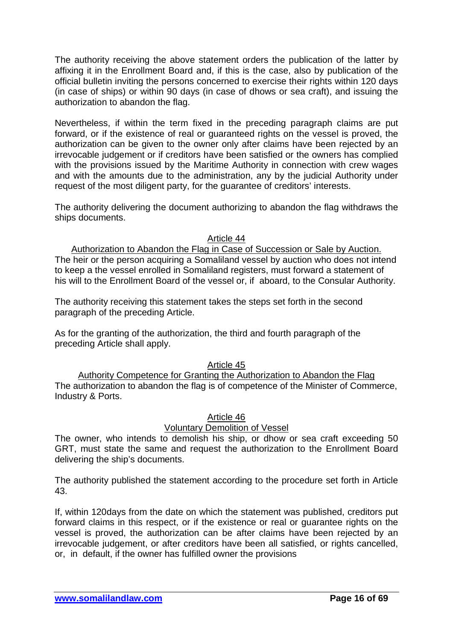The authority receiving the above statement orders the publication of the latter by affixing it in the Enrollment Board and, if this is the case, also by publication of the official bulletin inviting the persons concerned to exercise their rights within 120 days (in case of ships) or within 90 days (in case of dhows or sea craft), and issuing the authorization to abandon the flag.

Nevertheless, if within the term fixed in the preceding paragraph claims are put forward, or if the existence of real or guaranteed rights on the vessel is proved, the authorization can be given to the owner only after claims have been rejected by an irrevocable judgement or if creditors have been satisfied or the owners has complied with the provisions issued by the Maritime Authority in connection with crew wages and with the amounts due to the administration, any by the judicial Authority under request of the most diligent party, for the guarantee of creditors' interests.

The authority delivering the document authorizing to abandon the flag withdraws the ships documents.

Article 44

Authorization to Abandon the Flag in Case of Succession or Sale by Auction. The heir or the person acquiring a Somaliland vessel by auction who does not intend to keep a the vessel enrolled in Somaliland registers, must forward a statement of his will to the Enrollment Board of the vessel or, if aboard, to the Consular Authority.

The authority receiving this statement takes the steps set forth in the second paragraph of the preceding Article.

As for the granting of the authorization, the third and fourth paragraph of the preceding Article shall apply.

### Article 45

Authority Competence for Granting the Authorization to Abandon the Flag The authorization to abandon the flag is of competence of the Minister of Commerce, Industry & Ports.

### Article 46

# Voluntary Demolition of Vessel

The owner, who intends to demolish his ship, or dhow or sea craft exceeding 50 GRT, must state the same and request the authorization to the Enrollment Board delivering the ship's documents.

The authority published the statement according to the procedure set forth in Article 43.

If, within 120days from the date on which the statement was published, creditors put forward claims in this respect, or if the existence or real or guarantee rights on the vessel is proved, the authorization can be after claims have been rejected by an irrevocable judgement, or after creditors have been all satisfied, or rights cancelled, or, in default, if the owner has fulfilled owner the provisions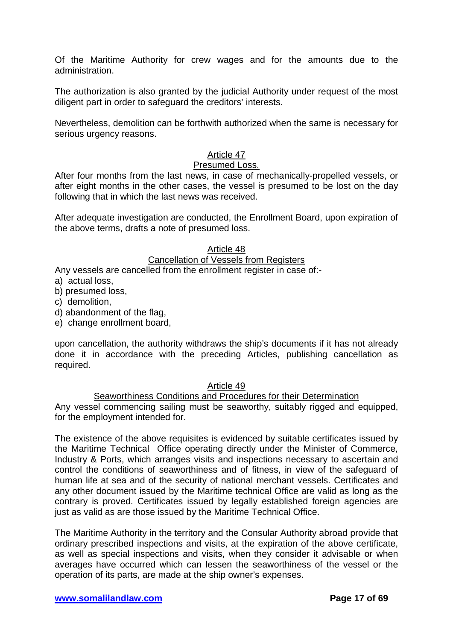Of the Maritime Authority for crew wages and for the amounts due to the administration.

The authorization is also granted by the judicial Authority under request of the most diligent part in order to safeguard the creditors' interests.

Nevertheless, demolition can be forthwith authorized when the same is necessary for serious urgency reasons.

### Article 47

### Presumed Loss.

After four months from the last news, in case of mechanically-propelled vessels, or after eight months in the other cases, the vessel is presumed to be lost on the day following that in which the last news was received.

After adequate investigation are conducted, the Enrollment Board, upon expiration of the above terms, drafts a note of presumed loss.

#### Article 48

#### Cancellation of Vessels from Registers

Any vessels are cancelled from the enrollment register in case of:-

- a) actual loss,
- b) presumed loss,
- c) demolition,
- d) abandonment of the flag,
- e) change enrollment board,

upon cancellation, the authority withdraws the ship's documents if it has not already done it in accordance with the preceding Articles, publishing cancellation as required.

#### Article 49

### Seaworthiness Conditions and Procedures for their Determination

Any vessel commencing sailing must be seaworthy, suitably rigged and equipped, for the employment intended for.

The existence of the above requisites is evidenced by suitable certificates issued by the Maritime Technical Office operating directly under the Minister of Commerce, Industry & Ports, which arranges visits and inspections necessary to ascertain and control the conditions of seaworthiness and of fitness, in view of the safeguard of human life at sea and of the security of national merchant vessels. Certificates and any other document issued by the Maritime technical Office are valid as long as the contrary is proved. Certificates issued by legally established foreign agencies are just as valid as are those issued by the Maritime Technical Office.

The Maritime Authority in the territory and the Consular Authority abroad provide that ordinary prescribed inspections and visits, at the expiration of the above certificate, as well as special inspections and visits, when they consider it advisable or when averages have occurred which can lessen the seaworthiness of the vessel or the operation of its parts, are made at the ship owner's expenses.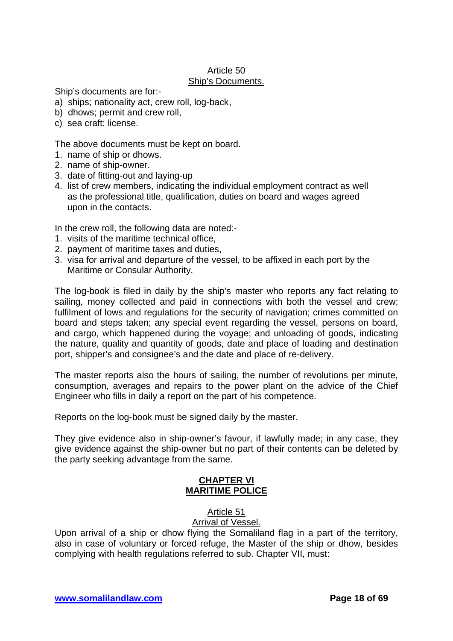#### Article 50 Ship's Documents.

Ship's documents are for:-

- a) ships; nationality act, crew roll, log-back,
- b) dhows; permit and crew roll,
- c) sea craft: license.

The above documents must be kept on board.

- 1. name of ship or dhows.
- 2. name of ship-owner.
- 3. date of fitting-out and laying-up
- 4. list of crew members, indicating the individual employment contract as well as the professional title, qualification, duties on board and wages agreed upon in the contacts.

In the crew roll, the following data are noted:-

- 1. visits of the maritime technical office,
- 2. payment of maritime taxes and duties,
- 3. visa for arrival and departure of the vessel, to be affixed in each port by the Maritime or Consular Authority.

The log-book is filed in daily by the ship's master who reports any fact relating to sailing, money collected and paid in connections with both the vessel and crew; fulfilment of lows and regulations for the security of navigation; crimes committed on board and steps taken; any special event regarding the vessel, persons on board, and cargo, which happened during the voyage; and unloading of goods, indicating the nature, quality and quantity of goods, date and place of loading and destination port, shipper's and consignee's and the date and place of re-delivery.

The master reports also the hours of sailing, the number of revolutions per minute, consumption, averages and repairs to the power plant on the advice of the Chief Engineer who fills in daily a report on the part of his competence.

Reports on the log-book must be signed daily by the master.

They give evidence also in ship-owner's favour, if lawfully made; in any case, they give evidence against the ship-owner but no part of their contents can be deleted by the party seeking advantage from the same.

# **CHAPTER VI MARITIME POLICE**

# Article 51

Arrival of Vessel.

Upon arrival of a ship or dhow flying the Somaliland flag in a part of the territory, also in case of voluntary or forced refuge, the Master of the ship or dhow, besides complying with health regulations referred to sub. Chapter VII, must: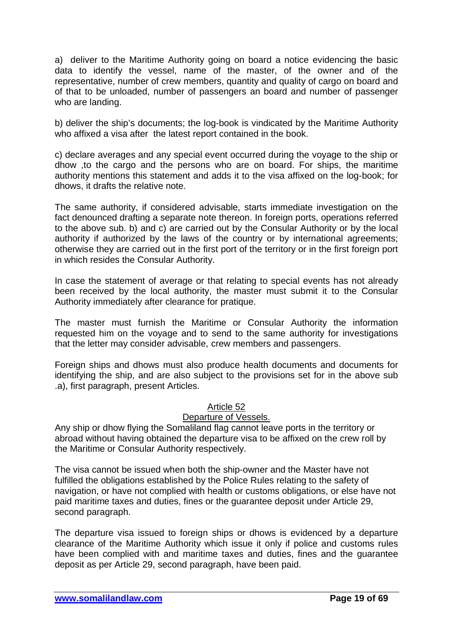a) deliver to the Maritime Authority going on board a notice evidencing the basic data to identify the vessel, name of the master, of the owner and of the representative, number of crew members, quantity and quality of cargo on board and of that to be unloaded, number of passengers an board and number of passenger who are landing.

b) deliver the ship's documents; the log-book is vindicated by the Maritime Authority who affixed a visa after the latest report contained in the book.

c) declare averages and any special event occurred during the voyage to the ship or dhow ,to the cargo and the persons who are on board. For ships, the maritime authority mentions this statement and adds it to the visa affixed on the log-book; for dhows, it drafts the relative note.

The same authority, if considered advisable, starts immediate investigation on the fact denounced drafting a separate note thereon. In foreign ports, operations referred to the above sub. b) and c) are carried out by the Consular Authority or by the local authority if authorized by the laws of the country or by international agreements; otherwise they are carried out in the first port of the territory or in the first foreign port in which resides the Consular Authority.

In case the statement of average or that relating to special events has not already been received by the local authority, the master must submit it to the Consular Authority immediately after clearance for pratique.

The master must furnish the Maritime or Consular Authority the information requested him on the voyage and to send to the same authority for investigations that the letter may consider advisable, crew members and passengers.

Foreign ships and dhows must also produce health documents and documents for identifying the ship, and are also subject to the provisions set for in the above sub .a), first paragraph, present Articles.

### Article 52

### Departure of Vessels.

Any ship or dhow flying the Somaliland flag cannot leave ports in the territory or abroad without having obtained the departure visa to be affixed on the crew roll by the Maritime or Consular Authority respectively.

The visa cannot be issued when both the ship-owner and the Master have not fulfilled the obligations established by the Police Rules relating to the safety of navigation, or have not complied with health or customs obligations, or else have not paid maritime taxes and duties, fines or the guarantee deposit under Article 29, second paragraph.

The departure visa issued to foreign ships or dhows is evidenced by a departure clearance of the Maritime Authority which issue it only if police and customs rules have been complied with and maritime taxes and duties, fines and the guarantee deposit as per Article 29, second paragraph, have been paid.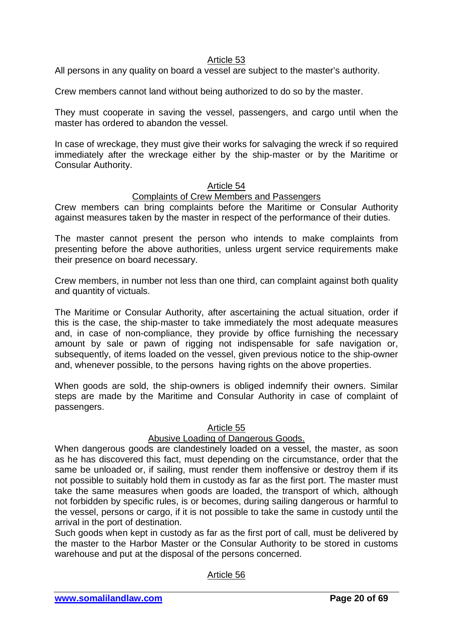### Article 53

All persons in any quality on board a vessel are subject to the master's authority.

Crew members cannot land without being authorized to do so by the master.

They must cooperate in saving the vessel, passengers, and cargo until when the master has ordered to abandon the vessel.

In case of wreckage, they must give their works for salvaging the wreck if so required immediately after the wreckage either by the ship-master or by the Maritime or Consular Authority.

#### Article 54

#### Complaints of Crew Members and Passengers

Crew members can bring complaints before the Maritime or Consular Authority against measures taken by the master in respect of the performance of their duties.

The master cannot present the person who intends to make complaints from presenting before the above authorities, unless urgent service requirements make their presence on board necessary.

Crew members, in number not less than one third, can complaint against both quality and quantity of victuals.

The Maritime or Consular Authority, after ascertaining the actual situation, order if this is the case, the ship-master to take immediately the most adequate measures and, in case of non-compliance, they provide by office furnishing the necessary amount by sale or pawn of rigging not indispensable for safe navigation or, subsequently, of items loaded on the vessel, given previous notice to the ship-owner and, whenever possible, to the persons having rights on the above properties.

When goods are sold, the ship-owners is obliged indemnify their owners. Similar steps are made by the Maritime and Consular Authority in case of complaint of passengers.

### Article 55

### Abusive Loading of Dangerous Goods.

When dangerous goods are clandestinely loaded on a vessel, the master, as soon as he has discovered this fact, must depending on the circumstance, order that the same be unloaded or, if sailing, must render them inoffensive or destroy them if its not possible to suitably hold them in custody as far as the first port. The master must take the same measures when goods are loaded, the transport of which, although not forbidden by specific rules, is or becomes, during sailing dangerous or harmful to the vessel, persons or cargo, if it is not possible to take the same in custody until the arrival in the port of destination.

Such goods when kept in custody as far as the first port of call, must be delivered by the master to the Harbor Master or the Consular Authority to be stored in customs warehouse and put at the disposal of the persons concerned.

### Article 56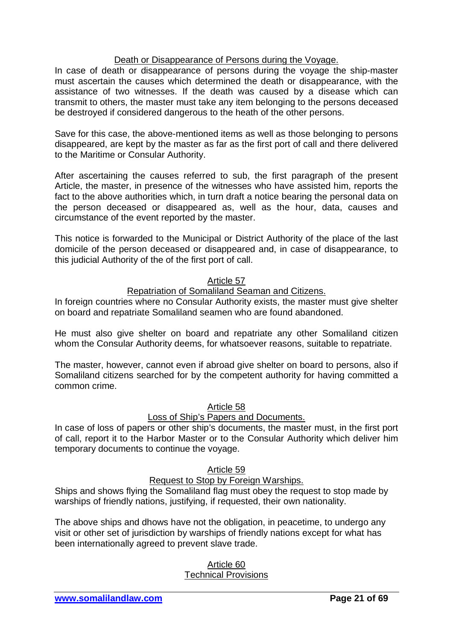### Death or Disappearance of Persons during the Voyage.

In case of death or disappearance of persons during the voyage the ship-master must ascertain the causes which determined the death or disappearance, with the assistance of two witnesses. If the death was caused by a disease which can transmit to others, the master must take any item belonging to the persons deceased be destroyed if considered dangerous to the heath of the other persons.

Save for this case, the above-mentioned items as well as those belonging to persons disappeared, are kept by the master as far as the first port of call and there delivered to the Maritime or Consular Authority.

After ascertaining the causes referred to sub, the first paragraph of the present Article, the master, in presence of the witnesses who have assisted him, reports the fact to the above authorities which, in turn draft a notice bearing the personal data on the person deceased or disappeared as, well as the hour, data, causes and circumstance of the event reported by the master.

This notice is forwarded to the Municipal or District Authority of the place of the last domicile of the person deceased or disappeared and, in case of disappearance, to this judicial Authority of the of the first port of call.

### Article 57

### Repatriation of Somaliland Seaman and Citizens.

In foreign countries where no Consular Authority exists, the master must give shelter on board and repatriate Somaliland seamen who are found abandoned.

He must also give shelter on board and repatriate any other Somaliland citizen whom the Consular Authority deems, for whatsoever reasons, suitable to repatriate.

The master, however, cannot even if abroad give shelter on board to persons, also if Somaliland citizens searched for by the competent authority for having committed a common crime.

### Article 58

### Loss of Ship's Papers and Documents.

In case of loss of papers or other ship's documents, the master must, in the first port of call, report it to the Harbor Master or to the Consular Authority which deliver him temporary documents to continue the voyage.

### Article 59

# Request to Stop by Foreign Warships.

Ships and shows flying the Somaliland flag must obey the request to stop made by warships of friendly nations, justifying, if requested, their own nationality.

The above ships and dhows have not the obligation, in peacetime, to undergo any visit or other set of jurisdiction by warships of friendly nations except for what has been internationally agreed to prevent slave trade.

#### Article 60 Technical Provisions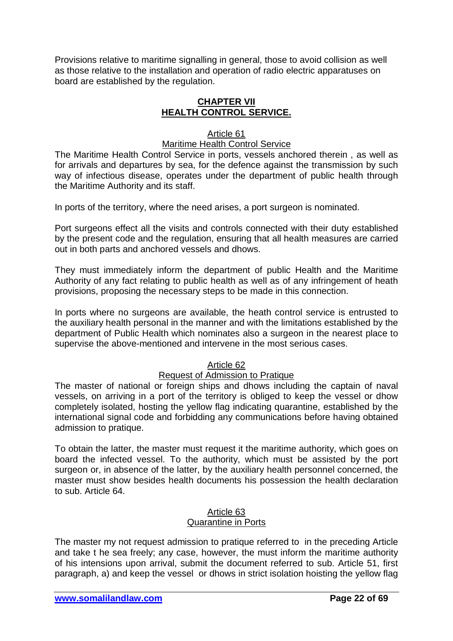Provisions relative to maritime signalling in general, those to avoid collision as well as those relative to the installation and operation of radio electric apparatuses on board are established by the regulation.

# **CHAPTER VII HEALTH CONTROL SERVICE.**

# Article 61

# Maritime Health Control Service

The Maritime Health Control Service in ports, vessels anchored therein , as well as for arrivals and departures by sea, for the defence against the transmission by such way of infectious disease, operates under the department of public health through the Maritime Authority and its staff.

In ports of the territory, where the need arises, a port surgeon is nominated.

Port surgeons effect all the visits and controls connected with their duty established by the present code and the regulation, ensuring that all health measures are carried out in both parts and anchored vessels and dhows.

They must immediately inform the department of public Health and the Maritime Authority of any fact relating to public health as well as of any infringement of heath provisions, proposing the necessary steps to be made in this connection.

In ports where no surgeons are available, the heath control service is entrusted to the auxiliary health personal in the manner and with the limitations established by the department of Public Health which nominates also a surgeon in the nearest place to supervise the above-mentioned and intervene in the most serious cases.

# Article 62

### Request of Admission to Pratique

The master of national or foreign ships and dhows including the captain of naval vessels, on arriving in a port of the territory is obliged to keep the vessel or dhow completely isolated, hosting the yellow flag indicating quarantine, established by the international signal code and forbidding any communications before having obtained admission to pratique.

To obtain the latter, the master must request it the maritime authority, which goes on board the infected vessel. To the authority, which must be assisted by the port surgeon or, in absence of the latter, by the auxiliary health personnel concerned, the master must show besides health documents his possession the health declaration to sub. Article 64.

#### Article 63 Quarantine in Ports

The master my not request admission to pratique referred to in the preceding Article and take t he sea freely; any case, however, the must inform the maritime authority of his intensions upon arrival, submit the document referred to sub. Article 51, first paragraph, a) and keep the vessel or dhows in strict isolation hoisting the yellow flag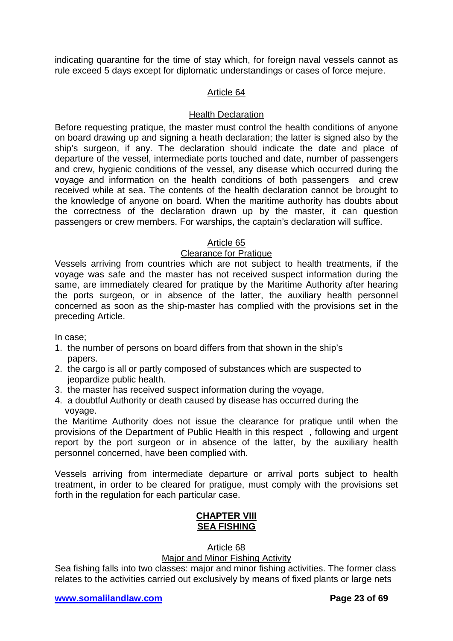indicating quarantine for the time of stay which, for foreign naval vessels cannot as rule exceed 5 days except for diplomatic understandings or cases of force mejure.

### Article 64

### Health Declaration

Before requesting pratique, the master must control the health conditions of anyone on board drawing up and signing a heath declaration; the latter is signed also by the ship's surgeon, if any. The declaration should indicate the date and place of departure of the vessel, intermediate ports touched and date, number of passengers and crew, hygienic conditions of the vessel, any disease which occurred during the voyage and information on the health conditions of both passengers and crew received while at sea. The contents of the health declaration cannot be brought to the knowledge of anyone on board. When the maritime authority has doubts about the correctness of the declaration drawn up by the master, it can question passengers or crew members. For warships, the captain's declaration will suffice.

### Article 65

### Clearance for Pratique

Vessels arriving from countries which are not subject to health treatments, if the voyage was safe and the master has not received suspect information during the same, are immediately cleared for pratique by the Maritime Authority after hearing the ports surgeon, or in absence of the latter, the auxiliary health personnel concerned as soon as the ship-master has complied with the provisions set in the preceding Article.

In case;

- 1. the number of persons on board differs from that shown in the ship's papers.
- 2. the cargo is all or partly composed of substances which are suspected to jeopardize public health.
- 3. the master has received suspect information during the voyage,
- 4. a doubtful Authority or death caused by disease has occurred during the voyage.

the Maritime Authority does not issue the clearance for pratique until when the provisions of the Department of Public Health in this respect , following and urgent report by the port surgeon or in absence of the latter, by the auxiliary health personnel concerned, have been complied with.

Vessels arriving from intermediate departure or arrival ports subject to health treatment, in order to be cleared for pratigue, must comply with the provisions set forth in the regulation for each particular case.

# **CHAPTER VIII SEA FISHING**

### Article 68

### Major and Minor Fishing Activity

Sea fishing falls into two classes: major and minor fishing activities. The former class relates to the activities carried out exclusively by means of fixed plants or large nets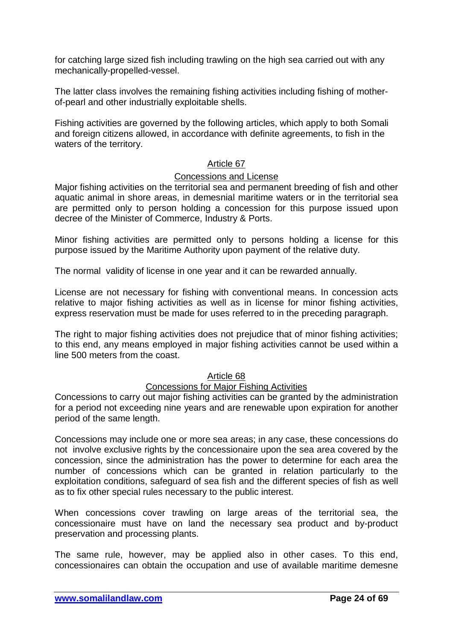for catching large sized fish including trawling on the high sea carried out with any mechanically-propelled-vessel.

The latter class involves the remaining fishing activities including fishing of motherof-pearl and other industrially exploitable shells.

Fishing activities are governed by the following articles, which apply to both Somali and foreign citizens allowed, in accordance with definite agreements, to fish in the waters of the territory.

# Article 67

### Concessions and License

Major fishing activities on the territorial sea and permanent breeding of fish and other aquatic animal in shore areas, in demesnial maritime waters or in the territorial sea are permitted only to person holding a concession for this purpose issued upon decree of the Minister of Commerce, Industry & Ports.

Minor fishing activities are permitted only to persons holding a license for this purpose issued by the Maritime Authority upon payment of the relative duty.

The normal validity of license in one year and it can be rewarded annually.

License are not necessary for fishing with conventional means. In concession acts relative to major fishing activities as well as in license for minor fishing activities, express reservation must be made for uses referred to in the preceding paragraph.

The right to major fishing activities does not prejudice that of minor fishing activities; to this end, any means employed in major fishing activities cannot be used within a line 500 meters from the coast.

# Article 68

### Concessions for Major Fishing Activities

Concessions to carry out major fishing activities can be granted by the administration for a period not exceeding nine years and are renewable upon expiration for another period of the same length.

Concessions may include one or more sea areas; in any case, these concessions do not involve exclusive rights by the concessionaire upon the sea area covered by the concession, since the administration has the power to determine for each area the number of concessions which can be granted in relation particularly to the exploitation conditions, safeguard of sea fish and the different species of fish as well as to fix other special rules necessary to the public interest.

When concessions cover trawling on large areas of the territorial sea, the concessionaire must have on land the necessary sea product and by-product preservation and processing plants.

The same rule, however, may be applied also in other cases. To this end, concessionaires can obtain the occupation and use of available maritime demesne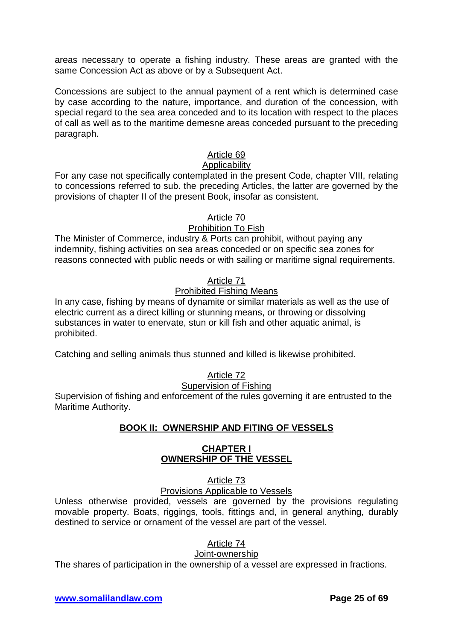areas necessary to operate a fishing industry. These areas are granted with the same Concession Act as above or by a Subsequent Act.

Concessions are subject to the annual payment of a rent which is determined case by case according to the nature, importance, and duration of the concession, with special regard to the sea area conceded and to its location with respect to the places of call as well as to the maritime demesne areas conceded pursuant to the preceding paragraph.

### Article 69

### Applicability

For any case not specifically contemplated in the present Code, chapter VIII, relating to concessions referred to sub. the preceding Articles, the latter are governed by the provisions of chapter II of the present Book, insofar as consistent.

### Article 70

### Prohibition To Fish

The Minister of Commerce, industry & Ports can prohibit, without paying any indemnity, fishing activities on sea areas conceded or on specific sea zones for reasons connected with public needs or with sailing or maritime signal requirements.

### Article 71

### Prohibited Fishing Means

In any case, fishing by means of dynamite or similar materials as well as the use of electric current as a direct killing or stunning means, or throwing or dissolving substances in water to enervate, stun or kill fish and other aquatic animal, is prohibited.

Catching and selling animals thus stunned and killed is likewise prohibited.

# Article 72

#### Supervision of Fishing

Supervision of fishing and enforcement of the rules governing it are entrusted to the Maritime Authority.

### **BOOK II: OWNERSHIP AND FITING OF VESSELS**

### **CHAPTER I OWNERSHIP OF THE VESSEL**

Article 73

Provisions Applicable to Vessels

Unless otherwise provided, vessels are governed by the provisions regulating movable property. Boats, riggings, tools, fittings and, in general anything, durably destined to service or ornament of the vessel are part of the vessel.

Article 74

### Joint-ownership

The shares of participation in the ownership of a vessel are expressed in fractions.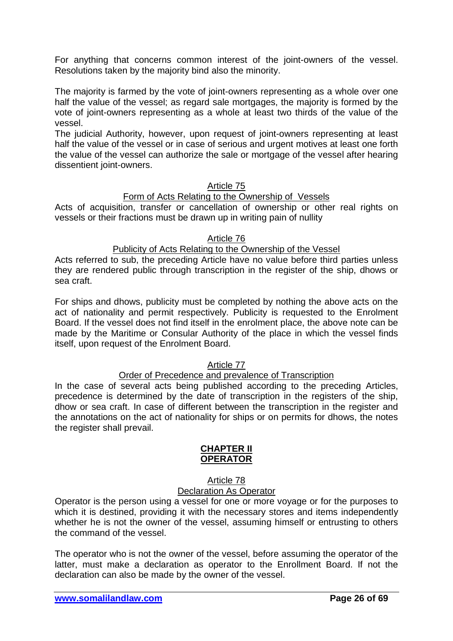For anything that concerns common interest of the joint-owners of the vessel. Resolutions taken by the majority bind also the minority.

The majority is farmed by the vote of joint-owners representing as a whole over one half the value of the vessel; as regard sale mortgages, the majority is formed by the vote of joint-owners representing as a whole at least two thirds of the value of the vessel.

The judicial Authority, however, upon request of joint-owners representing at least half the value of the vessel or in case of serious and urgent motives at least one forth the value of the vessel can authorize the sale or mortgage of the vessel after hearing dissentient joint-owners.

### Article 75

### Form of Acts Relating to the Ownership of Vessels

Acts of acquisition, transfer or cancellation of ownership or other real rights on vessels or their fractions must be drawn up in writing pain of nullity

#### Article 76

### Publicity of Acts Relating to the Ownership of the Vessel

Acts referred to sub, the preceding Article have no value before third parties unless they are rendered public through transcription in the register of the ship, dhows or sea craft.

For ships and dhows, publicity must be completed by nothing the above acts on the act of nationality and permit respectively. Publicity is requested to the Enrolment Board. If the vessel does not find itself in the enrolment place, the above note can be made by the Maritime or Consular Authority of the place in which the vessel finds itself, upon request of the Enrolment Board.

### Article 77

### Order of Precedence and prevalence of Transcription

In the case of several acts being published according to the preceding Articles, precedence is determined by the date of transcription in the registers of the ship, dhow or sea craft. In case of different between the transcription in the register and the annotations on the act of nationality for ships or on permits for dhows, the notes the register shall prevail.

#### **CHAPTER II OPERATOR**

#### Article 78 Declaration As Operator

Operator is the person using a vessel for one or more voyage or for the purposes to which it is destined, providing it with the necessary stores and items independently whether he is not the owner of the vessel, assuming himself or entrusting to others the command of the vessel.

The operator who is not the owner of the vessel, before assuming the operator of the latter, must make a declaration as operator to the Enrollment Board. If not the declaration can also be made by the owner of the vessel.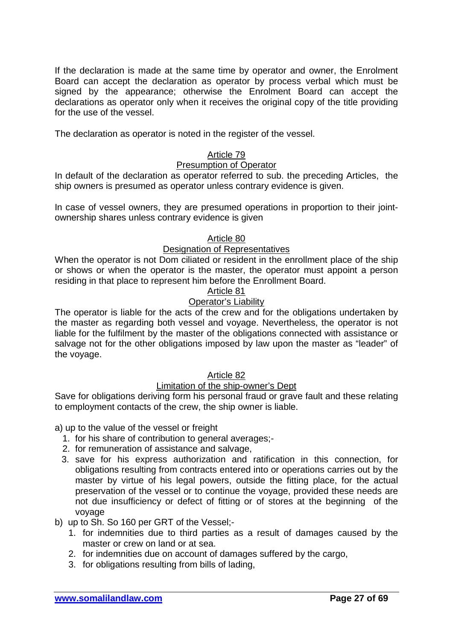If the declaration is made at the same time by operator and owner, the Enrolment Board can accept the declaration as operator by process verbal which must be signed by the appearance; otherwise the Enrolment Board can accept the declarations as operator only when it receives the original copy of the title providing for the use of the vessel.

The declaration as operator is noted in the register of the vessel.

# Article 79

### Presumption of Operator

In default of the declaration as operator referred to sub. the preceding Articles, the ship owners is presumed as operator unless contrary evidence is given.

In case of vessel owners, they are presumed operations in proportion to their jointownership shares unless contrary evidence is given

#### Article 80

### Designation of Representatives

When the operator is not Dom ciliated or resident in the enrollment place of the ship or shows or when the operator is the master, the operator must appoint a person residing in that place to represent him before the Enrollment Board.

### Article 81

# Operator's Liability

The operator is liable for the acts of the crew and for the obligations undertaken by the master as regarding both vessel and voyage. Nevertheless, the operator is not liable for the fulfilment by the master of the obligations connected with assistance or salvage not for the other obligations imposed by law upon the master as "leader" of the voyage.

### Article 82

### Limitation of the ship-owner's Dept

Save for obligations deriving form his personal fraud or grave fault and these relating to employment contacts of the crew, the ship owner is liable.

a) up to the value of the vessel or freight

- 1. for his share of contribution to general averages;-
- 2. for remuneration of assistance and salvage,
- 3. save for his express authorization and ratification in this connection, for obligations resulting from contracts entered into or operations carries out by the master by virtue of his legal powers, outside the fitting place, for the actual preservation of the vessel or to continue the voyage, provided these needs are not due insufficiency or defect of fitting or of stores at the beginning of the voyage
- b) up to Sh. So 160 per GRT of the Vessel;-
	- 1. for indemnities due to third parties as a result of damages caused by the master or crew on land or at sea.
	- 2. for indemnities due on account of damages suffered by the cargo,
	- 3. for obligations resulting from bills of lading,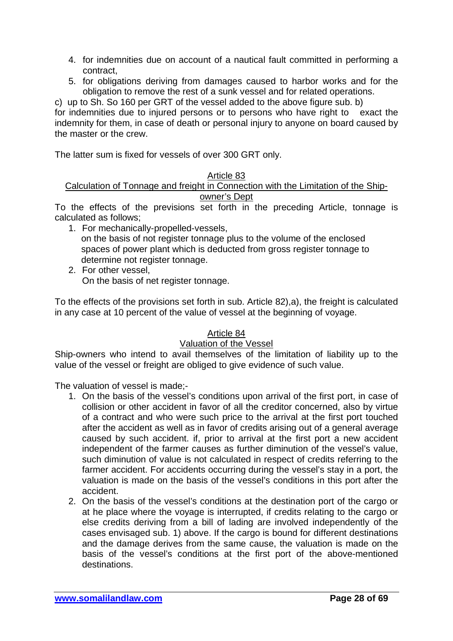- 4. for indemnities due on account of a nautical fault committed in performing a contract,
- 5. for obligations deriving from damages caused to harbor works and for the obligation to remove the rest of a sunk vessel and for related operations.

c) up to Sh. So 160 per GRT of the vessel added to the above figure sub. b) for indemnities due to injured persons or to persons who have right to exact the indemnity for them, in case of death or personal injury to anyone on board caused by the master or the crew.

The latter sum is fixed for vessels of over 300 GRT only.

### Article 83

Calculation of Tonnage and freight in Connection with the Limitation of the Shipowner's Dept

To the effects of the previsions set forth in the preceding Article, tonnage is calculated as follows;

- 1. For mechanically-propelled-vessels, on the basis of not register tonnage plus to the volume of the enclosed spaces of power plant which is deducted from gross register tonnage to determine not register tonnage.
- 2. For other vessel, On the basis of net register tonnage.

To the effects of the provisions set forth in sub. Article 82),a), the freight is calculated in any case at 10 percent of the value of vessel at the beginning of voyage.

# Article 84

# Valuation of the Vessel

Ship-owners who intend to avail themselves of the limitation of liability up to the value of the vessel or freight are obliged to give evidence of such value.

The valuation of vessel is made;-

- 1. On the basis of the vessel's conditions upon arrival of the first port, in case of collision or other accident in favor of all the creditor concerned, also by virtue of a contract and who were such price to the arrival at the first port touched after the accident as well as in favor of credits arising out of a general average caused by such accident. if, prior to arrival at the first port a new accident independent of the farmer causes as further diminution of the vessel's value, such diminution of value is not calculated in respect of credits referring to the farmer accident. For accidents occurring during the vessel's stay in a port, the valuation is made on the basis of the vessel's conditions in this port after the accident.
- 2. On the basis of the vessel's conditions at the destination port of the cargo or at he place where the voyage is interrupted, if credits relating to the cargo or else credits deriving from a bill of lading are involved independently of the cases envisaged sub. 1) above. If the cargo is bound for different destinations and the damage derives from the same cause, the valuation is made on the basis of the vessel's conditions at the first port of the above-mentioned destinations.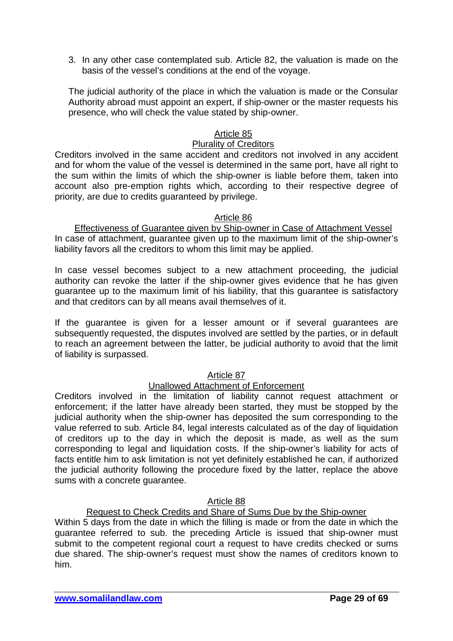3. In any other case contemplated sub. Article 82, the valuation is made on the basis of the vessel's conditions at the end of the voyage.

The judicial authority of the place in which the valuation is made or the Consular Authority abroad must appoint an expert, if ship-owner or the master requests his presence, who will check the value stated by ship-owner.

### Article 85

#### Plurality of Creditors

Creditors involved in the same accident and creditors not involved in any accident and for whom the value of the vessel is determined in the same port, have all right to the sum within the limits of which the ship-owner is liable before them, taken into account also pre-emption rights which, according to their respective degree of priority, are due to credits guaranteed by privilege.

### Article 86

Effectiveness of Guarantee given by Ship-owner in Case of Attachment Vessel In case of attachment, guarantee given up to the maximum limit of the ship-owner's liability favors all the creditors to whom this limit may be applied.

In case vessel becomes subject to a new attachment proceeding, the judicial authority can revoke the latter if the ship-owner gives evidence that he has given guarantee up to the maximum limit of his liability, that this guarantee is satisfactory and that creditors can by all means avail themselves of it.

If the guarantee is given for a lesser amount or if several guarantees are subsequently requested, the disputes involved are settled by the parties, or in default to reach an agreement between the latter, be judicial authority to avoid that the limit of liability is surpassed.

### Article 87

# Unallowed Attachment of Enforcement

Creditors involved in the limitation of liability cannot request attachment or enforcement; if the latter have already been started, they must be stopped by the judicial authority when the ship-owner has deposited the sum corresponding to the value referred to sub. Article 84, legal interests calculated as of the day of liquidation of creditors up to the day in which the deposit is made, as well as the sum corresponding to legal and liquidation costs. If the ship-owner's liability for acts of facts entitle him to ask limitation is not yet definitely established he can, if authorized the judicial authority following the procedure fixed by the latter, replace the above sums with a concrete guarantee.

### Article 88

# Request to Check Credits and Share of Sums Due by the Ship-owner

Within 5 days from the date in which the filling is made or from the date in which the guarantee referred to sub. the preceding Article is issued that ship-owner must submit to the competent regional court a request to have credits checked or sums due shared. The ship-owner's request must show the names of creditors known to him.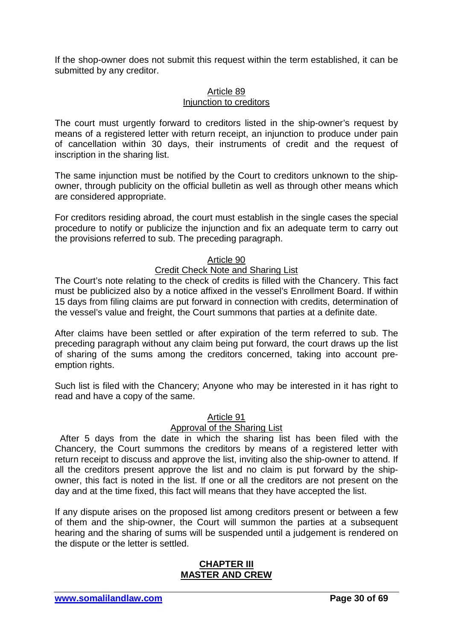If the shop-owner does not submit this request within the term established, it can be submitted by any creditor.

### Article 89 Injunction to creditors

The court must urgently forward to creditors listed in the ship-owner's request by means of a registered letter with return receipt, an injunction to produce under pain of cancellation within 30 days, their instruments of credit and the request of inscription in the sharing list.

The same injunction must be notified by the Court to creditors unknown to the shipowner, through publicity on the official bulletin as well as through other means which are considered appropriate.

For creditors residing abroad, the court must establish in the single cases the special procedure to notify or publicize the injunction and fix an adequate term to carry out the provisions referred to sub. The preceding paragraph.

### Article 90

### Credit Check Note and Sharing List

The Court's note relating to the check of credits is filled with the Chancery. This fact must be publicized also by a notice affixed in the vessel's Enrollment Board. If within 15 days from filing claims are put forward in connection with credits, determination of the vessel's value and freight, the Court summons that parties at a definite date.

After claims have been settled or after expiration of the term referred to sub. The preceding paragraph without any claim being put forward, the court draws up the list of sharing of the sums among the creditors concerned, taking into account preemption rights.

Such list is filed with the Chancery; Anyone who may be interested in it has right to read and have a copy of the same.

### Article 91

# Approval of the Sharing List

 After 5 days from the date in which the sharing list has been filed with the Chancery, the Court summons the creditors by means of a registered letter with return receipt to discuss and approve the list, inviting also the ship-owner to attend. If all the creditors present approve the list and no claim is put forward by the shipowner, this fact is noted in the list. If one or all the creditors are not present on the day and at the time fixed, this fact will means that they have accepted the list.

If any dispute arises on the proposed list among creditors present or between a few of them and the ship-owner, the Court will summon the parties at a subsequent hearing and the sharing of sums will be suspended until a judgement is rendered on the dispute or the letter is settled.

### **CHAPTER III MASTER AND CREW**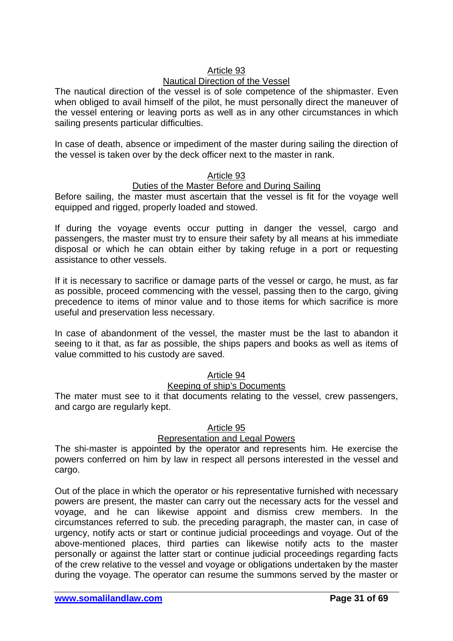### Article 93

### Nautical Direction of the Vessel

The nautical direction of the vessel is of sole competence of the shipmaster. Even when obliged to avail himself of the pilot, he must personally direct the maneuver of the vessel entering or leaving ports as well as in any other circumstances in which sailing presents particular difficulties.

In case of death, absence or impediment of the master during sailing the direction of the vessel is taken over by the deck officer next to the master in rank.

### Article 93

#### Duties of the Master Before and During Sailing

Before sailing, the master must ascertain that the vessel is fit for the voyage well equipped and rigged, properly loaded and stowed.

If during the voyage events occur putting in danger the vessel, cargo and passengers, the master must try to ensure their safety by all means at his immediate disposal or which he can obtain either by taking refuge in a port or requesting assistance to other vessels.

If it is necessary to sacrifice or damage parts of the vessel or cargo, he must, as far as possible, proceed commencing with the vessel, passing then to the cargo, giving precedence to items of minor value and to those items for which sacrifice is more useful and preservation less necessary.

In case of abandonment of the vessel, the master must be the last to abandon it seeing to it that, as far as possible, the ships papers and books as well as items of value committed to his custody are saved.

### Article 94

### Keeping of ship's Documents

The mater must see to it that documents relating to the vessel, crew passengers, and cargo are regularly kept.

### Article 95

### Representation and Legal Powers

The shi-master is appointed by the operator and represents him. He exercise the powers conferred on him by law in respect all persons interested in the vessel and cargo.

Out of the place in which the operator or his representative furnished with necessary powers are present, the master can carry out the necessary acts for the vessel and voyage, and he can likewise appoint and dismiss crew members. In the circumstances referred to sub. the preceding paragraph, the master can, in case of urgency, notify acts or start or continue judicial proceedings and voyage. Out of the above-mentioned places, third parties can likewise notify acts to the master personally or against the latter start or continue judicial proceedings regarding facts of the crew relative to the vessel and voyage or obligations undertaken by the master during the voyage. The operator can resume the summons served by the master or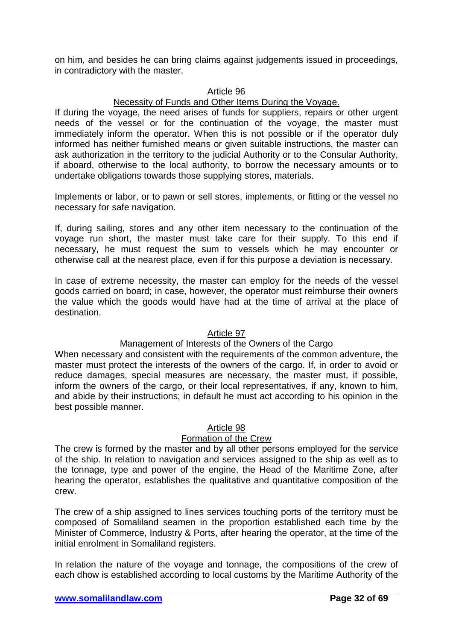on him, and besides he can bring claims against judgements issued in proceedings, in contradictory with the master.

### Article 96

### Necessity of Funds and Other Items During the Voyage.

If during the voyage, the need arises of funds for suppliers, repairs or other urgent needs of the vessel or for the continuation of the voyage, the master must immediately inform the operator. When this is not possible or if the operator duly informed has neither furnished means or given suitable instructions, the master can ask authorization in the territory to the judicial Authority or to the Consular Authority, if aboard, otherwise to the local authority, to borrow the necessary amounts or to undertake obligations towards those supplying stores, materials.

Implements or labor, or to pawn or sell stores, implements, or fitting or the vessel no necessary for safe navigation.

If, during sailing, stores and any other item necessary to the continuation of the voyage run short, the master must take care for their supply. To this end if necessary, he must request the sum to vessels which he may encounter or otherwise call at the nearest place, even if for this purpose a deviation is necessary.

In case of extreme necessity, the master can employ for the needs of the vessel goods carried on board; in case, however, the operator must reimburse their owners the value which the goods would have had at the time of arrival at the place of destination.

### Article 97

### Management of Interests of the Owners of the Cargo

When necessary and consistent with the requirements of the common adventure, the master must protect the interests of the owners of the cargo. If, in order to avoid or reduce damages, special measures are necessary, the master must, if possible, inform the owners of the cargo, or their local representatives, if any, known to him, and abide by their instructions; in default he must act according to his opinion in the best possible manner.

### Article 98

### Formation of the Crew

The crew is formed by the master and by all other persons employed for the service of the ship. In relation to navigation and services assigned to the ship as well as to the tonnage, type and power of the engine, the Head of the Maritime Zone, after hearing the operator, establishes the qualitative and quantitative composition of the crew.

The crew of a ship assigned to lines services touching ports of the territory must be composed of Somaliland seamen in the proportion established each time by the Minister of Commerce, Industry & Ports, after hearing the operator, at the time of the initial enrolment in Somaliland registers.

In relation the nature of the voyage and tonnage, the compositions of the crew of each dhow is established according to local customs by the Maritime Authority of the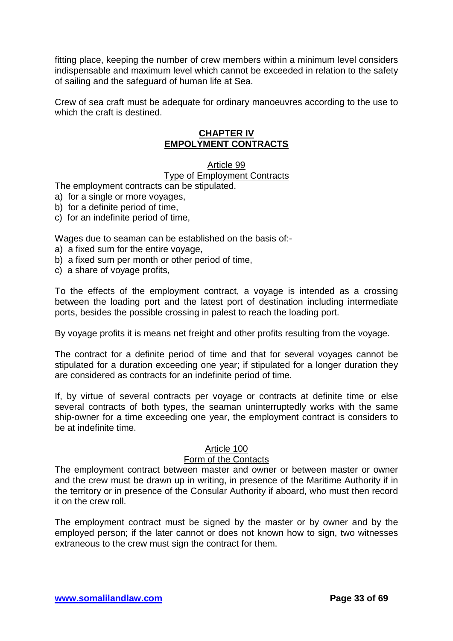fitting place, keeping the number of crew members within a minimum level considers indispensable and maximum level which cannot be exceeded in relation to the safety of sailing and the safeguard of human life at Sea.

Crew of sea craft must be adequate for ordinary manoeuvres according to the use to which the craft is destined.

### **CHAPTER IV EMPOLYMENT CONTRACTS**

#### Article 99

#### Type of Employment Contracts

The employment contracts can be stipulated.

- a) for a single or more voyages,
- b) for a definite period of time,
- c) for an indefinite period of time,

Wages due to seaman can be established on the basis of:-

- a) a fixed sum for the entire voyage,
- b) a fixed sum per month or other period of time,
- c) a share of voyage profits,

To the effects of the employment contract, a voyage is intended as a crossing between the loading port and the latest port of destination including intermediate ports, besides the possible crossing in palest to reach the loading port.

By voyage profits it is means net freight and other profits resulting from the voyage.

The contract for a definite period of time and that for several voyages cannot be stipulated for a duration exceeding one year; if stipulated for a longer duration they are considered as contracts for an indefinite period of time.

If, by virtue of several contracts per voyage or contracts at definite time or else several contracts of both types, the seaman uninterruptedly works with the same ship-owner for a time exceeding one year, the employment contract is considers to be at indefinite time.

### Article 100

#### Form of the Contacts

The employment contract between master and owner or between master or owner and the crew must be drawn up in writing, in presence of the Maritime Authority if in the territory or in presence of the Consular Authority if aboard, who must then record it on the crew roll.

The employment contract must be signed by the master or by owner and by the employed person; if the later cannot or does not known how to sign, two witnesses extraneous to the crew must sign the contract for them.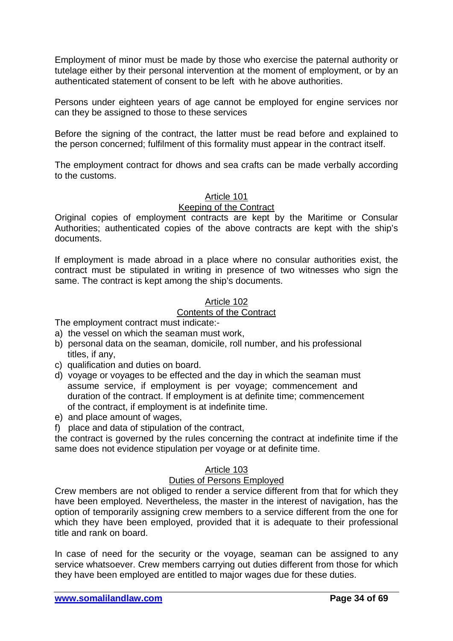Employment of minor must be made by those who exercise the paternal authority or tutelage either by their personal intervention at the moment of employment, or by an authenticated statement of consent to be left with he above authorities.

Persons under eighteen years of age cannot be employed for engine services nor can they be assigned to those to these services

Before the signing of the contract, the latter must be read before and explained to the person concerned; fulfilment of this formality must appear in the contract itself.

The employment contract for dhows and sea crafts can be made verbally according to the customs.

### Article 101

### Keeping of the Contract

Original copies of employment contracts are kept by the Maritime or Consular Authorities; authenticated copies of the above contracts are kept with the ship's documents.

If employment is made abroad in a place where no consular authorities exist, the contract must be stipulated in writing in presence of two witnesses who sign the same. The contract is kept among the ship's documents.

#### Article 102

# Contents of the Contract

The employment contract must indicate:-

- a) the vessel on which the seaman must work,
- b) personal data on the seaman, domicile, roll number, and his professional titles, if any,
- c) qualification and duties on board.
- d) voyage or voyages to be effected and the day in which the seaman must assume service, if employment is per voyage; commencement and duration of the contract. If employment is at definite time; commencement of the contract, if employment is at indefinite time.
- e) and place amount of wages,
- f) place and data of stipulation of the contract,

the contract is governed by the rules concerning the contract at indefinite time if the same does not evidence stipulation per voyage or at definite time.

### Article 103

#### Duties of Persons Employed

Crew members are not obliged to render a service different from that for which they have been employed. Nevertheless, the master in the interest of navigation, has the option of temporarily assigning crew members to a service different from the one for which they have been employed, provided that it is adequate to their professional title and rank on board.

In case of need for the security or the voyage, seaman can be assigned to any service whatsoever. Crew members carrying out duties different from those for which they have been employed are entitled to major wages due for these duties.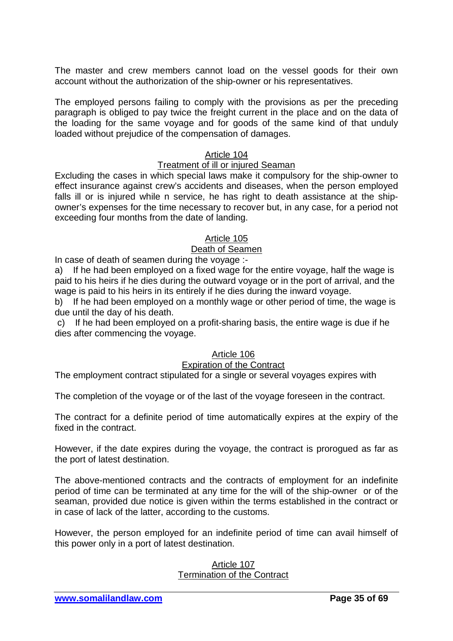The master and crew members cannot load on the vessel goods for their own account without the authorization of the ship-owner or his representatives.

The employed persons failing to comply with the provisions as per the preceding paragraph is obliged to pay twice the freight current in the place and on the data of the loading for the same voyage and for goods of the same kind of that unduly loaded without prejudice of the compensation of damages.

### Article 104

### Treatment of ill or injured Seaman

Excluding the cases in which special laws make it compulsory for the ship-owner to effect insurance against crew's accidents and diseases, when the person employed falls ill or is injured while n service, he has right to death assistance at the shipowner's expenses for the time necessary to recover but, in any case, for a period not exceeding four months from the date of landing.

#### Article 105

### Death of Seamen

In case of death of seamen during the voyage :-

a) If he had been employed on a fixed wage for the entire voyage, half the wage is paid to his heirs if he dies during the outward voyage or in the port of arrival, and the wage is paid to his heirs in its entirely if he dies during the inward voyage.

b) If he had been employed on a monthly wage or other period of time, the wage is due until the day of his death.

c) If he had been employed on a profit-sharing basis, the entire wage is due if he dies after commencing the voyage.

### Article 106

#### Expiration of the Contract

The employment contract stipulated for a single or several voyages expires with

The completion of the voyage or of the last of the voyage foreseen in the contract.

The contract for a definite period of time automatically expires at the expiry of the fixed in the contract.

However, if the date expires during the voyage, the contract is prorogued as far as the port of latest destination.

The above-mentioned contracts and the contracts of employment for an indefinite period of time can be terminated at any time for the will of the ship-owner or of the seaman, provided due notice is given within the terms established in the contract or in case of lack of the latter, according to the customs.

However, the person employed for an indefinite period of time can avail himself of this power only in a port of latest destination.

#### Article 107 Termination of the Contract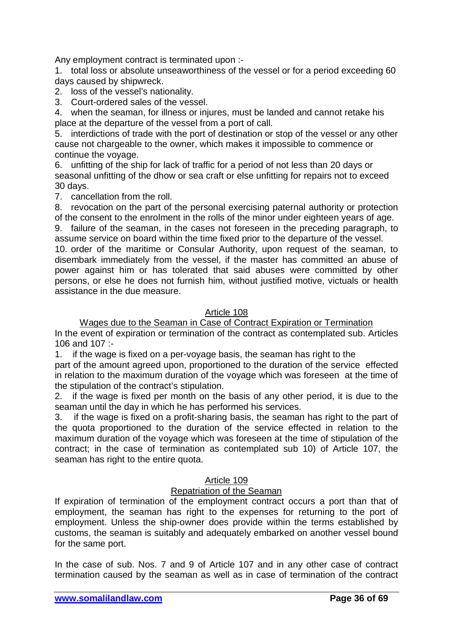Any employment contract is terminated upon :-

1. total loss or absolute unseaworthiness of the vessel or for a period exceeding 60 days caused by shipwreck.

2. loss of the vessel's nationality.

3. Court-ordered sales of the vessel.

4. when the seaman, for illness or injures, must be landed and cannot retake his place at the departure of the vessel from a port of call.

5. interdictions of trade with the port of destination or stop of the vessel or any other cause not chargeable to the owner, which makes it impossible to commence or continue the voyage.

6. unfitting of the ship for lack of traffic for a period of not less than 20 days or seasonal unfitting of the dhow or sea craft or else unfitting for repairs not to exceed 30 days.

7. cancellation from the roll.

8. revocation on the part of the personal exercising paternal authority or protection of the consent to the enrolment in the rolls of the minor under eighteen years of age.

9. failure of the seaman, in the cases not foreseen in the preceding paragraph, to assume service on board within the time fixed prior to the departure of the vessel.

10. order of the maritime or Consular Authority, upon request of the seaman, to disembark immediately from the vessel, if the master has committed an abuse of power against him or has tolerated that said abuses were committed by other persons, or else he does not furnish him, without justified motive, victuals or health assistance in the due measure.

### Article 108

Wages due to the Seaman in Case of Contract Expiration or Termination In the event of expiration or termination of the contract as contemplated sub. Articles 106 and 107 :-

1. if the wage is fixed on a per-voyage basis, the seaman has right to the

part of the amount agreed upon, proportioned to the duration of the service effected in relation to the maximum duration of the voyage which was foreseen at the time of the stipulation of the contract's stipulation.

2. if the wage is fixed per month on the basis of any other period, it is due to the seaman until the day in which he has performed his services.

3. if the wage is fixed on a profit-sharing basis, the seaman has right to the part of the quota proportioned to the duration of the service effected in relation to the maximum duration of the voyage which was foreseen at the time of stipulation of the contract; in the case of termination as contemplated sub 10) of Article 107, the seaman has right to the entire quota.

### Article 109

### Repatriation of the Seaman

If expiration of termination of the employment contract occurs a port than that of employment, the seaman has right to the expenses for returning to the port of employment. Unless the ship-owner does provide within the terms established by customs, the seaman is suitably and adequately embarked on another vessel bound for the same port.

In the case of sub. Nos. 7 and 9 of Article 107 and in any other case of contract termination caused by the seaman as well as in case of termination of the contract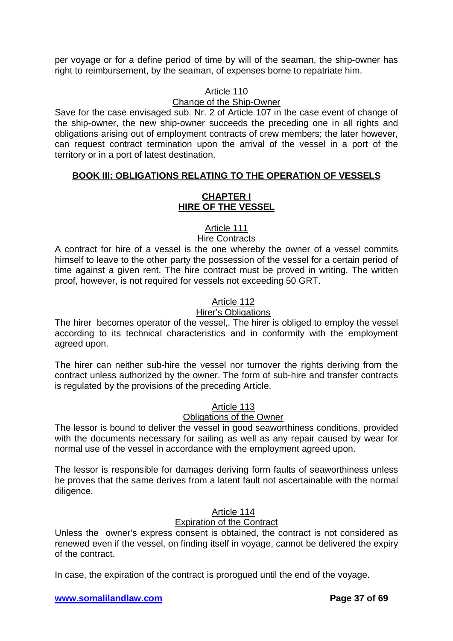per voyage or for a define period of time by will of the seaman, the ship-owner has right to reimbursement, by the seaman, of expenses borne to repatriate him.

# Article 110

# Change of the Ship-Owner

Save for the case envisaged sub. Nr. 2 of Article 107 in the case event of change of the ship-owner, the new ship-owner succeeds the preceding one in all rights and obligations arising out of employment contracts of crew members; the later however, can request contract termination upon the arrival of the vessel in a port of the territory or in a port of latest destination.

# **BOOK III: OBLIGATIONS RELATING TO THE OPERATION OF VESSELS**

### **CHAPTER I HIRE OF THE VESSEL**

# Article 111

# Hire Contracts

A contract for hire of a vessel is the one whereby the owner of a vessel commits himself to leave to the other party the possession of the vessel for a certain period of time against a given rent. The hire contract must be proved in writing. The written proof, however, is not required for vessels not exceeding 50 GRT.

# Article 112

# Hirer's Obligations

The hirer becomes operator of the vessel,. The hirer is obliged to employ the vessel according to its technical characteristics and in conformity with the employment agreed upon.

The hirer can neither sub-hire the vessel nor turnover the rights deriving from the contract unless authorized by the owner. The form of sub-hire and transfer contracts is regulated by the provisions of the preceding Article.

# Article 113

# Obligations of the Owner

The lessor is bound to deliver the vessel in good seaworthiness conditions, provided with the documents necessary for sailing as well as any repair caused by wear for normal use of the vessel in accordance with the employment agreed upon.

The lessor is responsible for damages deriving form faults of seaworthiness unless he proves that the same derives from a latent fault not ascertainable with the normal diligence.

# Article 114

# Expiration of the Contract

Unless the owner's express consent is obtained, the contract is not considered as renewed even if the vessel, on finding itself in voyage, cannot be delivered the expiry of the contract.

In case, the expiration of the contract is prorogued until the end of the voyage.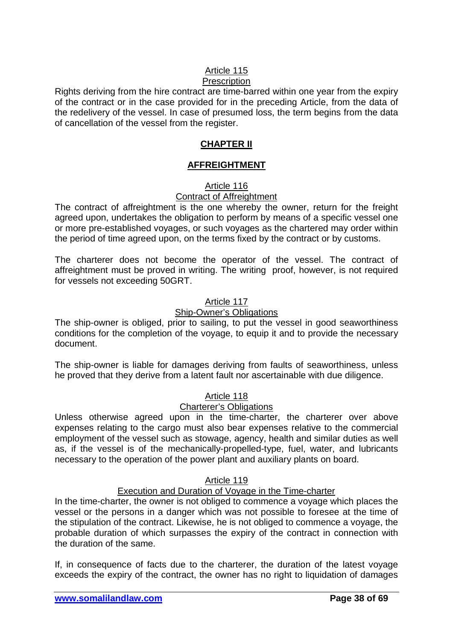# Article 115

# **Prescription**

Rights deriving from the hire contract are time-barred within one year from the expiry of the contract or in the case provided for in the preceding Article, from the data of the redelivery of the vessel. In case of presumed loss, the term begins from the data of cancellation of the vessel from the register.

### **CHAPTER II**

### **AFFREIGHTMENT**

# Article 116

# Contract of Affreightment

The contract of affreightment is the one whereby the owner, return for the freight agreed upon, undertakes the obligation to perform by means of a specific vessel one or more pre-established voyages, or such voyages as the chartered may order within the period of time agreed upon, on the terms fixed by the contract or by customs.

The charterer does not become the operator of the vessel. The contract of affreightment must be proved in writing. The writing proof, however, is not required for vessels not exceeding 50GRT.

### Article 117

### Ship-Owner's Obligations

The ship-owner is obliged, prior to sailing, to put the vessel in good seaworthiness conditions for the completion of the voyage, to equip it and to provide the necessary document.

The ship-owner is liable for damages deriving from faults of seaworthiness, unless he proved that they derive from a latent fault nor ascertainable with due diligence.

### Article 118

### Charterer's Obligations

Unless otherwise agreed upon in the time-charter, the charterer over above expenses relating to the cargo must also bear expenses relative to the commercial employment of the vessel such as stowage, agency, health and similar duties as well as, if the vessel is of the mechanically-propelled-type, fuel, water, and lubricants necessary to the operation of the power plant and auxiliary plants on board.

### Article 119

### Execution and Duration of Voyage in the Time-charter

In the time-charter, the owner is not obliged to commence a voyage which places the vessel or the persons in a danger which was not possible to foresee at the time of the stipulation of the contract. Likewise, he is not obliged to commence a voyage, the probable duration of which surpasses the expiry of the contract in connection with the duration of the same.

If, in consequence of facts due to the charterer, the duration of the latest voyage exceeds the expiry of the contract, the owner has no right to liquidation of damages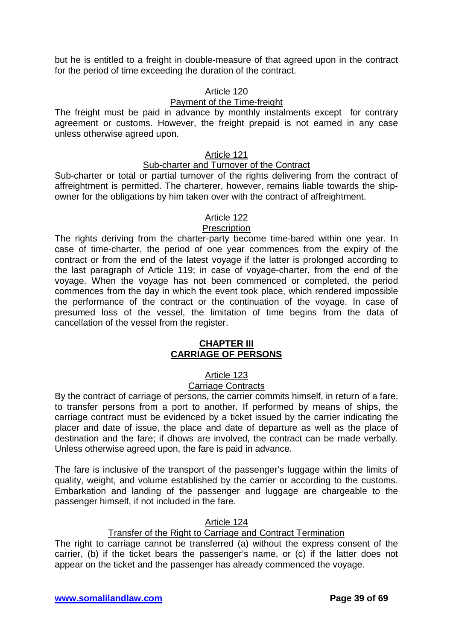but he is entitled to a freight in double-measure of that agreed upon in the contract for the period of time exceeding the duration of the contract.

### Article 120

### Payment of the Time-freight

The freight must be paid in advance by monthly instalments except for contrary agreement or customs. However, the freight prepaid is not earned in any case unless otherwise agreed upon.

### Article 121

### Sub-charter and Turnover of the Contract

Sub-charter or total or partial turnover of the rights delivering from the contract of affreightment is permitted. The charterer, however, remains liable towards the shipowner for the obligations by him taken over with the contract of affreightment.

# Article 122

### **Prescription**

The rights deriving from the charter-party become time-bared within one year. In case of time-charter, the period of one year commences from the expiry of the contract or from the end of the latest voyage if the latter is prolonged according to the last paragraph of Article 119; in case of voyage-charter, from the end of the voyage. When the voyage has not been commenced or completed, the period commences from the day in which the event took place, which rendered impossible the performance of the contract or the continuation of the voyage. In case of presumed loss of the vessel, the limitation of time begins from the data of cancellation of the vessel from the register.

#### **CHAPTER III CARRIAGE OF PERSONS**

# Article 123

### Carriage Contracts

By the contract of carriage of persons, the carrier commits himself, in return of a fare, to transfer persons from a port to another. If performed by means of ships, the carriage contract must be evidenced by a ticket issued by the carrier indicating the placer and date of issue, the place and date of departure as well as the place of destination and the fare; if dhows are involved, the contract can be made verbally. Unless otherwise agreed upon, the fare is paid in advance.

The fare is inclusive of the transport of the passenger's luggage within the limits of quality, weight, and volume established by the carrier or according to the customs. Embarkation and landing of the passenger and luggage are chargeable to the passenger himself, if not included in the fare.

### Article 124

### Transfer of the Right to Carriage and Contract Termination

The right to carriage cannot be transferred (a) without the express consent of the carrier, (b) if the ticket bears the passenger's name, or (c) if the latter does not appear on the ticket and the passenger has already commenced the voyage.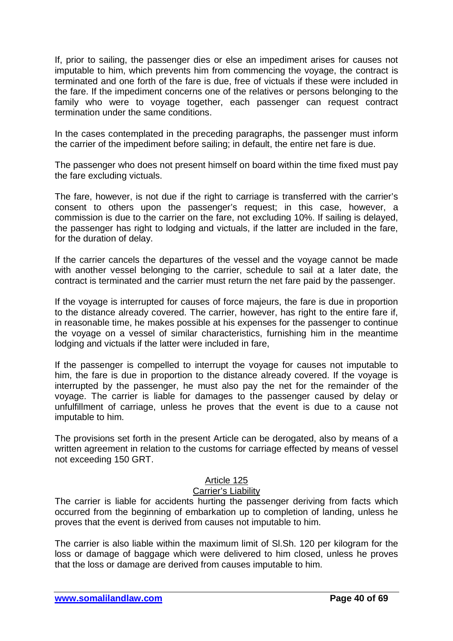If, prior to sailing, the passenger dies or else an impediment arises for causes not imputable to him, which prevents him from commencing the voyage, the contract is terminated and one forth of the fare is due, free of victuals if these were included in the fare. If the impediment concerns one of the relatives or persons belonging to the family who were to voyage together, each passenger can request contract termination under the same conditions.

In the cases contemplated in the preceding paragraphs, the passenger must inform the carrier of the impediment before sailing; in default, the entire net fare is due.

The passenger who does not present himself on board within the time fixed must pay the fare excluding victuals.

The fare, however, is not due if the right to carriage is transferred with the carrier's consent to others upon the passenger's request; in this case, however, a commission is due to the carrier on the fare, not excluding 10%. If sailing is delayed, the passenger has right to lodging and victuals, if the latter are included in the fare, for the duration of delay.

If the carrier cancels the departures of the vessel and the voyage cannot be made with another vessel belonging to the carrier, schedule to sail at a later date, the contract is terminated and the carrier must return the net fare paid by the passenger.

If the voyage is interrupted for causes of force majeurs, the fare is due in proportion to the distance already covered. The carrier, however, has right to the entire fare if, in reasonable time, he makes possible at his expenses for the passenger to continue the voyage on a vessel of similar characteristics, furnishing him in the meantime lodging and victuals if the latter were included in fare,

If the passenger is compelled to interrupt the voyage for causes not imputable to him, the fare is due in proportion to the distance already covered. If the voyage is interrupted by the passenger, he must also pay the net for the remainder of the voyage. The carrier is liable for damages to the passenger caused by delay or unfulfillment of carriage, unless he proves that the event is due to a cause not imputable to him.

The provisions set forth in the present Article can be derogated, also by means of a written agreement in relation to the customs for carriage effected by means of vessel not exceeding 150 GRT.

### Article 125

### Carrier's Liability

The carrier is liable for accidents hurting the passenger deriving from facts which occurred from the beginning of embarkation up to completion of landing, unless he proves that the event is derived from causes not imputable to him.

The carrier is also liable within the maximum limit of Sl.Sh. 120 per kilogram for the loss or damage of baggage which were delivered to him closed, unless he proves that the loss or damage are derived from causes imputable to him.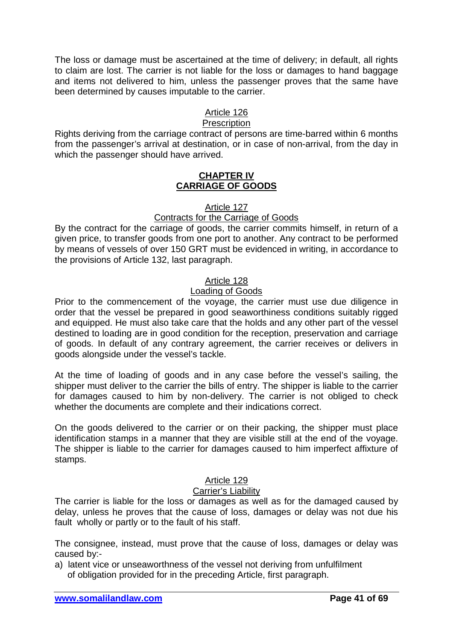The loss or damage must be ascertained at the time of delivery; in default, all rights to claim are lost. The carrier is not liable for the loss or damages to hand baggage and items not delivered to him, unless the passenger proves that the same have been determined by causes imputable to the carrier.

### Article 126

# **Prescription**

Rights deriving from the carriage contract of persons are time-barred within 6 months from the passenger's arrival at destination, or in case of non-arrival, from the day in which the passenger should have arrived.

### **CHAPTER IV CARRIAGE OF GOODS**

#### Article 127

### Contracts for the Carriage of Goods

By the contract for the carriage of goods, the carrier commits himself, in return of a given price, to transfer goods from one port to another. Any contract to be performed by means of vessels of over 150 GRT must be evidenced in writing, in accordance to the provisions of Article 132, last paragraph.

### Article 128

### Loading of Goods

Prior to the commencement of the voyage, the carrier must use due diligence in order that the vessel be prepared in good seaworthiness conditions suitably rigged and equipped. He must also take care that the holds and any other part of the vessel destined to loading are in good condition for the reception, preservation and carriage of goods. In default of any contrary agreement, the carrier receives or delivers in goods alongside under the vessel's tackle.

At the time of loading of goods and in any case before the vessel's sailing, the shipper must deliver to the carrier the bills of entry. The shipper is liable to the carrier for damages caused to him by non-delivery. The carrier is not obliged to check whether the documents are complete and their indications correct.

On the goods delivered to the carrier or on their packing, the shipper must place identification stamps in a manner that they are visible still at the end of the voyage. The shipper is liable to the carrier for damages caused to him imperfect affixture of stamps.

### Article 129

### Carrier's Liability

The carrier is liable for the loss or damages as well as for the damaged caused by delay, unless he proves that the cause of loss, damages or delay was not due his fault wholly or partly or to the fault of his staff.

The consignee, instead, must prove that the cause of loss, damages or delay was caused by:-

a) latent vice or unseaworthness of the vessel not deriving from unfulfilment of obligation provided for in the preceding Article, first paragraph.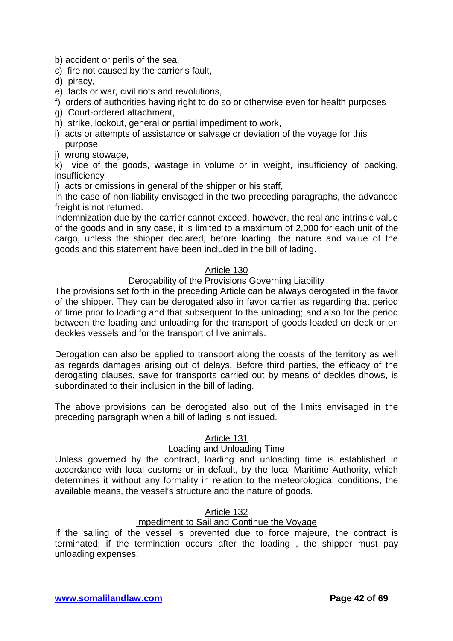- b) accident or perils of the sea,
- c) fire not caused by the carrier's fault,
- d) piracy,
- e) facts or war, civil riots and revolutions,
- f) orders of authorities having right to do so or otherwise even for health purposes
- g) Court-ordered attachment,
- h) strike, lockout, general or partial impediment to work,
- i) acts or attempts of assistance or salvage or deviation of the voyage for this purpose,
- j) wrong stowage,

k) vice of the goods, wastage in volume or in weight, insufficiency of packing, insufficiency

l) acts or omissions in general of the shipper or his staff,

In the case of non-liability envisaged in the two preceding paragraphs, the advanced freight is not returned.

Indemnization due by the carrier cannot exceed, however, the real and intrinsic value of the goods and in any case, it is limited to a maximum of 2,000 for each unit of the cargo, unless the shipper declared, before loading, the nature and value of the goods and this statement have been included in the bill of lading.

### Article 130

### Derogability of the Provisions Governing Liability

The provisions set forth in the preceding Article can be always derogated in the favor of the shipper. They can be derogated also in favor carrier as regarding that period of time prior to loading and that subsequent to the unloading; and also for the period between the loading and unloading for the transport of goods loaded on deck or on deckles vessels and for the transport of live animals.

Derogation can also be applied to transport along the coasts of the territory as well as regards damages arising out of delays. Before third parties, the efficacy of the derogating clauses, save for transports carried out by means of deckles dhows, is subordinated to their inclusion in the bill of lading.

The above provisions can be derogated also out of the limits envisaged in the preceding paragraph when a bill of lading is not issued.

### Article 131

### Loading and Unloading Time

Unless governed by the contract, loading and unloading time is established in accordance with local customs or in default, by the local Maritime Authority, which determines it without any formality in relation to the meteorological conditions, the available means, the vessel's structure and the nature of goods.

# Article 132

# Impediment to Sail and Continue the Voyage

If the sailing of the vessel is prevented due to force majeure, the contract is terminated; if the termination occurs after the loading , the shipper must pay unloading expenses.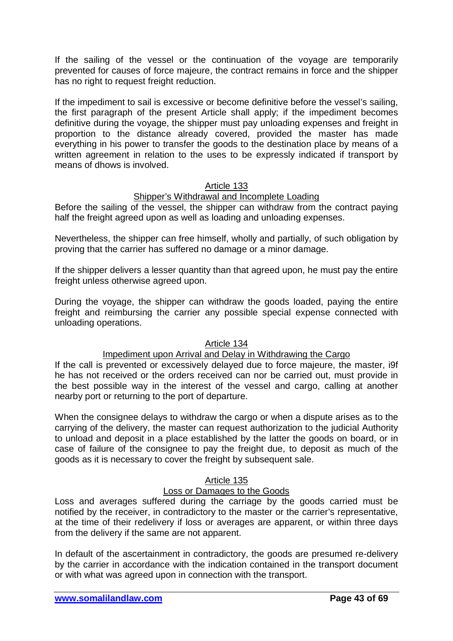If the sailing of the vessel or the continuation of the voyage are temporarily prevented for causes of force majeure, the contract remains in force and the shipper has no right to request freight reduction.

If the impediment to sail is excessive or become definitive before the vessel's sailing, the first paragraph of the present Article shall apply; if the impediment becomes definitive during the voyage, the shipper must pay unloading expenses and freight in proportion to the distance already covered, provided the master has made everything in his power to transfer the goods to the destination place by means of a written agreement in relation to the uses to be expressly indicated if transport by means of dhows is involved.

### Article 133

### Shipper's Withdrawal and Incomplete Loading

Before the sailing of the vessel, the shipper can withdraw from the contract paying half the freight agreed upon as well as loading and unloading expenses.

Nevertheless, the shipper can free himself, wholly and partially, of such obligation by proving that the carrier has suffered no damage or a minor damage.

If the shipper delivers a lesser quantity than that agreed upon, he must pay the entire freight unless otherwise agreed upon.

During the voyage, the shipper can withdraw the goods loaded, paying the entire freight and reimbursing the carrier any possible special expense connected with unloading operations.

### Article 134

# Impediment upon Arrival and Delay in Withdrawing the Cargo

If the call is prevented or excessively delayed due to force majeure, the master, i9f he has not received or the orders received can nor be carried out, must provide in the best possible way in the interest of the vessel and cargo, calling at another nearby port or returning to the port of departure.

When the consignee delays to withdraw the cargo or when a dispute arises as to the carrying of the delivery, the master can request authorization to the judicial Authority to unload and deposit in a place established by the latter the goods on board, or in case of failure of the consignee to pay the freight due, to deposit as much of the goods as it is necessary to cover the freight by subsequent sale.

### Article 135

### Loss or Damages to the Goods

Loss and averages suffered during the carriage by the goods carried must be notified by the receiver, in contradictory to the master or the carrier's representative, at the time of their redelivery if loss or averages are apparent, or within three days from the delivery if the same are not apparent.

In default of the ascertainment in contradictory, the goods are presumed re-delivery by the carrier in accordance with the indication contained in the transport document or with what was agreed upon in connection with the transport.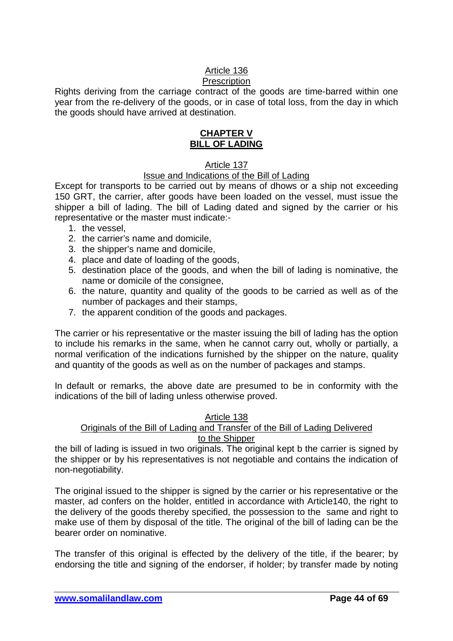# Article 136

# **Prescription**

Rights deriving from the carriage contract of the goods are time-barred within one year from the re-delivery of the goods, or in case of total loss, from the day in which the goods should have arrived at destination.

### **CHAPTER V BILL OF LADING**

### Article 137

### Issue and Indications of the Bill of Lading

Except for transports to be carried out by means of dhows or a ship not exceeding 150 GRT, the carrier, after goods have been loaded on the vessel, must issue the shipper a bill of lading. The bill of Lading dated and signed by the carrier or his representative or the master must indicate:-

- 1. the vessel,
- 2. the carrier's name and domicile,
- 3. the shipper's name and domicile,
- 4. place and date of loading of the goods,
- 5. destination place of the goods, and when the bill of lading is nominative, the name or domicile of the consignee,
- 6. the nature, quantity and quality of the goods to be carried as well as of the number of packages and their stamps,
- 7. the apparent condition of the goods and packages.

The carrier or his representative or the master issuing the bill of lading has the option to include his remarks in the same, when he cannot carry out, wholly or partially, a normal verification of the indications furnished by the shipper on the nature, quality and quantity of the goods as well as on the number of packages and stamps.

In default or remarks, the above date are presumed to be in conformity with the indications of the bill of lading unless otherwise proved.

#### Article 138 Originals of the Bill of Lading and Transfer of the Bill of Lading Delivered to the Shipper

the bill of lading is issued in two originals. The original kept b the carrier is signed by the shipper or by his representatives is not negotiable and contains the indication of non-negotiability.

The original issued to the shipper is signed by the carrier or his representative or the master, ad confers on the holder, entitled in accordance with Article140, the right to the delivery of the goods thereby specified, the possession to the same and right to make use of them by disposal of the title. The original of the bill of lading can be the bearer order on nominative.

The transfer of this original is effected by the delivery of the title, if the bearer; by endorsing the title and signing of the endorser, if holder; by transfer made by noting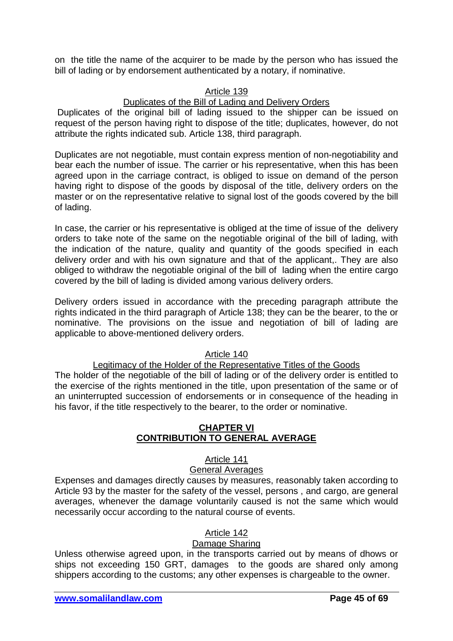on the title the name of the acquirer to be made by the person who has issued the bill of lading or by endorsement authenticated by a notary, if nominative.

### Article 139

# Duplicates of the Bill of Lading and Delivery Orders

Duplicates of the original bill of lading issued to the shipper can be issued on request of the person having right to dispose of the title; duplicates, however, do not attribute the rights indicated sub. Article 138, third paragraph.

Duplicates are not negotiable, must contain express mention of non-negotiability and bear each the number of issue. The carrier or his representative, when this has been agreed upon in the carriage contract, is obliged to issue on demand of the person having right to dispose of the goods by disposal of the title, delivery orders on the master or on the representative relative to signal lost of the goods covered by the bill of lading.

In case, the carrier or his representative is obliged at the time of issue of the delivery orders to take note of the same on the negotiable original of the bill of lading, with the indication of the nature, quality and quantity of the goods specified in each delivery order and with his own signature and that of the applicant,. They are also obliged to withdraw the negotiable original of the bill of lading when the entire cargo covered by the bill of lading is divided among various delivery orders.

Delivery orders issued in accordance with the preceding paragraph attribute the rights indicated in the third paragraph of Article 138; they can be the bearer, to the or nominative. The provisions on the issue and negotiation of bill of lading are applicable to above-mentioned delivery orders.

### Article 140

### Legitimacy of the Holder of the Representative Titles of the Goods

The holder of the negotiable of the bill of lading or of the delivery order is entitled to the exercise of the rights mentioned in the title, upon presentation of the same or of an uninterrupted succession of endorsements or in consequence of the heading in his favor, if the title respectively to the bearer, to the order or nominative.

#### **CHAPTER VI CONTRIBUTION TO GENERAL AVERAGE**

### Article 141

#### General Averages

Expenses and damages directly causes by measures, reasonably taken according to Article 93 by the master for the safety of the vessel, persons , and cargo, are general averages, whenever the damage voluntarily caused is not the same which would necessarily occur according to the natural course of events.

#### Article 142

### Damage Sharing

Unless otherwise agreed upon, in the transports carried out by means of dhows or ships not exceeding 150 GRT, damages to the goods are shared only among shippers according to the customs; any other expenses is chargeable to the owner.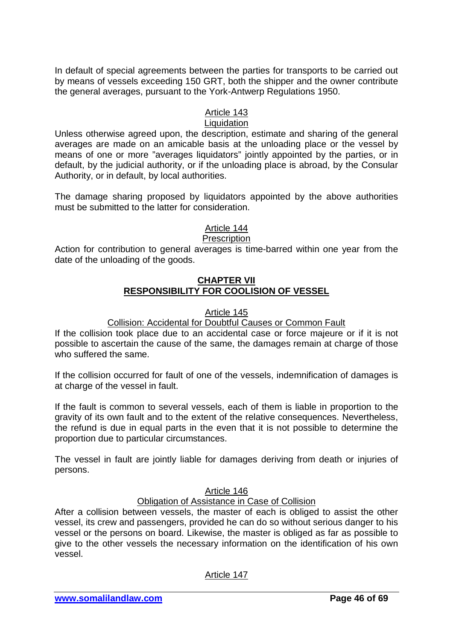In default of special agreements between the parties for transports to be carried out by means of vessels exceeding 150 GRT, both the shipper and the owner contribute the general averages, pursuant to the York-Antwerp Regulations 1950.

# Article 143

# **Liquidation**

Unless otherwise agreed upon, the description, estimate and sharing of the general averages are made on an amicable basis at the unloading place or the vessel by means of one or more "averages liquidators" jointly appointed by the parties, or in default, by the judicial authority, or if the unloading place is abroad, by the Consular Authority, or in default, by local authorities.

The damage sharing proposed by liquidators appointed by the above authorities must be submitted to the latter for consideration.

# Article 144

### **Prescription**

Action for contribution to general averages is time-barred within one year from the date of the unloading of the goods.

#### **CHAPTER VII RESPONSIBILITY FOR COOLISION OF VESSEL**

### Article 145

### Collision: Accidental for Doubtful Causes or Common Fault

If the collision took place due to an accidental case or force majeure or if it is not possible to ascertain the cause of the same, the damages remain at charge of those who suffered the same.

If the collision occurred for fault of one of the vessels, indemnification of damages is at charge of the vessel in fault.

If the fault is common to several vessels, each of them is liable in proportion to the gravity of its own fault and to the extent of the relative consequences. Nevertheless, the refund is due in equal parts in the even that it is not possible to determine the proportion due to particular circumstances.

The vessel in fault are jointly liable for damages deriving from death or injuries of persons.

### Article 146

# Obligation of Assistance in Case of Collision

After a collision between vessels, the master of each is obliged to assist the other vessel, its crew and passengers, provided he can do so without serious danger to his vessel or the persons on board. Likewise, the master is obliged as far as possible to give to the other vessels the necessary information on the identification of his own vessel.

Article 147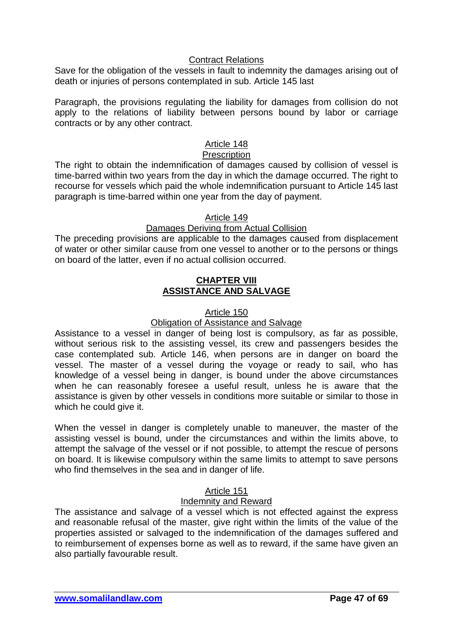### Contract Relations

Save for the obligation of the vessels in fault to indemnity the damages arising out of death or injuries of persons contemplated in sub. Article 145 last

Paragraph, the provisions regulating the liability for damages from collision do not apply to the relations of liability between persons bound by labor or carriage contracts or by any other contract.

# Article 148

### **Prescription**

The right to obtain the indemnification of damages caused by collision of vessel is time-barred within two years from the day in which the damage occurred. The right to recourse for vessels which paid the whole indemnification pursuant to Article 145 last paragraph is time-barred within one year from the day of payment.

### Article 149

### Damages Deriving from Actual Collision

The preceding provisions are applicable to the damages caused from displacement of water or other similar cause from one vessel to another or to the persons or things on board of the latter, even if no actual collision occurred.

#### **CHAPTER VIII ASSISTANCE AND SALVAGE**

#### Article 150

### Obligation of Assistance and Salvage

Assistance to a vessel in danger of being lost is compulsory, as far as possible, without serious risk to the assisting vessel, its crew and passengers besides the case contemplated sub. Article 146, when persons are in danger on board the vessel. The master of a vessel during the voyage or ready to sail, who has knowledge of a vessel being in danger, is bound under the above circumstances when he can reasonably foresee a useful result, unless he is aware that the assistance is given by other vessels in conditions more suitable or similar to those in which he could give it.

When the vessel in danger is completely unable to maneuver, the master of the assisting vessel is bound, under the circumstances and within the limits above, to attempt the salvage of the vessel or if not possible, to attempt the rescue of persons on board. It is likewise compulsory within the same limits to attempt to save persons who find themselves in the sea and in danger of life.

### Article 151

### Indemnity and Reward

The assistance and salvage of a vessel which is not effected against the express and reasonable refusal of the master, give right within the limits of the value of the properties assisted or salvaged to the indemnification of the damages suffered and to reimbursement of expenses borne as well as to reward, if the same have given an also partially favourable result.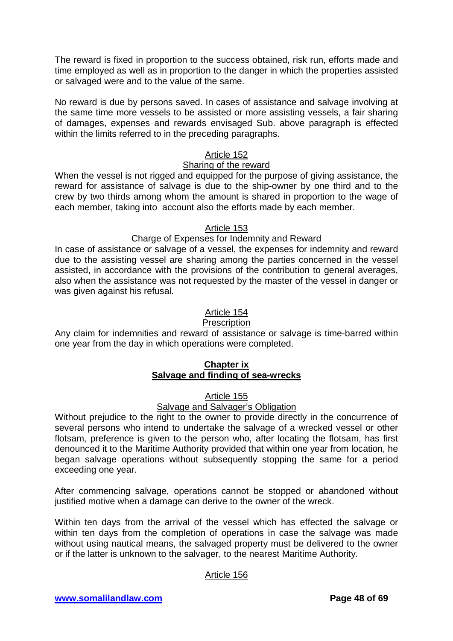The reward is fixed in proportion to the success obtained, risk run, efforts made and time employed as well as in proportion to the danger in which the properties assisted or salvaged were and to the value of the same.

No reward is due by persons saved. In cases of assistance and salvage involving at the same time more vessels to be assisted or more assisting vessels, a fair sharing of damages, expenses and rewards envisaged Sub. above paragraph is effected within the limits referred to in the preceding paragraphs.

### Article 152

#### Sharing of the reward

When the vessel is not rigged and equipped for the purpose of giving assistance, the reward for assistance of salvage is due to the ship-owner by one third and to the crew by two thirds among whom the amount is shared in proportion to the wage of each member, taking into account also the efforts made by each member.

### Article 153

#### Charge of Expenses for Indemnity and Reward

In case of assistance or salvage of a vessel, the expenses for indemnity and reward due to the assisting vessel are sharing among the parties concerned in the vessel assisted, in accordance with the provisions of the contribution to general averages, also when the assistance was not requested by the master of the vessel in danger or was given against his refusal.

### Article 154

#### **Prescription**

Any claim for indemnities and reward of assistance or salvage is time-barred within one year from the day in which operations were completed.

### **Chapter ix Salvage and finding of sea-wrecks**

### Article 155

#### Salvage and Salvager's Obligation

Without prejudice to the right to the owner to provide directly in the concurrence of several persons who intend to undertake the salvage of a wrecked vessel or other flotsam, preference is given to the person who, after locating the flotsam, has first denounced it to the Maritime Authority provided that within one year from location, he began salvage operations without subsequently stopping the same for a period exceeding one year.

After commencing salvage, operations cannot be stopped or abandoned without justified motive when a damage can derive to the owner of the wreck.

Within ten days from the arrival of the vessel which has effected the salvage or within ten days from the completion of operations in case the salvage was made without using nautical means, the salvaged property must be delivered to the owner or if the latter is unknown to the salvager, to the nearest Maritime Authority.

### Article 156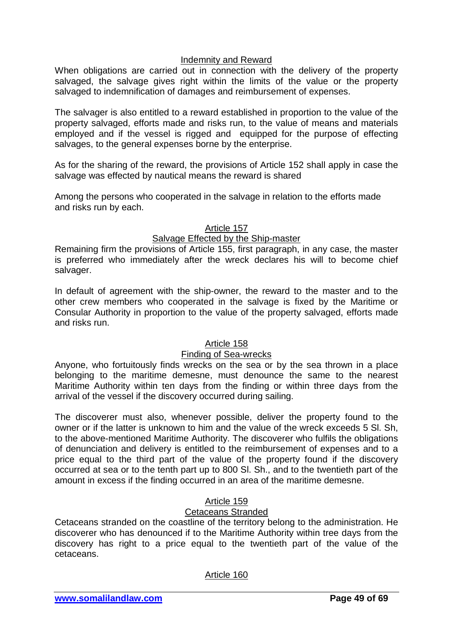### Indemnity and Reward

When obligations are carried out in connection with the delivery of the property salvaged, the salvage gives right within the limits of the value or the property salvaged to indemnification of damages and reimbursement of expenses.

The salvager is also entitled to a reward established in proportion to the value of the property salvaged, efforts made and risks run, to the value of means and materials employed and if the vessel is rigged and equipped for the purpose of effecting salvages, to the general expenses borne by the enterprise.

As for the sharing of the reward, the provisions of Article 152 shall apply in case the salvage was effected by nautical means the reward is shared

Among the persons who cooperated in the salvage in relation to the efforts made and risks run by each.

#### Article 157

### Salvage Effected by the Ship-master

Remaining firm the provisions of Article 155, first paragraph, in any case, the master is preferred who immediately after the wreck declares his will to become chief salvager.

In default of agreement with the ship-owner, the reward to the master and to the other crew members who cooperated in the salvage is fixed by the Maritime or Consular Authority in proportion to the value of the property salvaged, efforts made and risks run.

#### Article 158

### Finding of Sea-wrecks

Anyone, who fortuitously finds wrecks on the sea or by the sea thrown in a place belonging to the maritime demesne, must denounce the same to the nearest Maritime Authority within ten days from the finding or within three days from the arrival of the vessel if the discovery occurred during sailing.

The discoverer must also, whenever possible, deliver the property found to the owner or if the latter is unknown to him and the value of the wreck exceeds 5 Sl. Sh, to the above-mentioned Maritime Authority. The discoverer who fulfils the obligations of denunciation and delivery is entitled to the reimbursement of expenses and to a price equal to the third part of the value of the property found if the discovery occurred at sea or to the tenth part up to 800 Sl. Sh., and to the twentieth part of the amount in excess if the finding occurred in an area of the maritime demesne.

# Article 159

### Cetaceans Stranded

Cetaceans stranded on the coastline of the territory belong to the administration. He discoverer who has denounced if to the Maritime Authority within tree days from the discovery has right to a price equal to the twentieth part of the value of the cetaceans.

### Article 160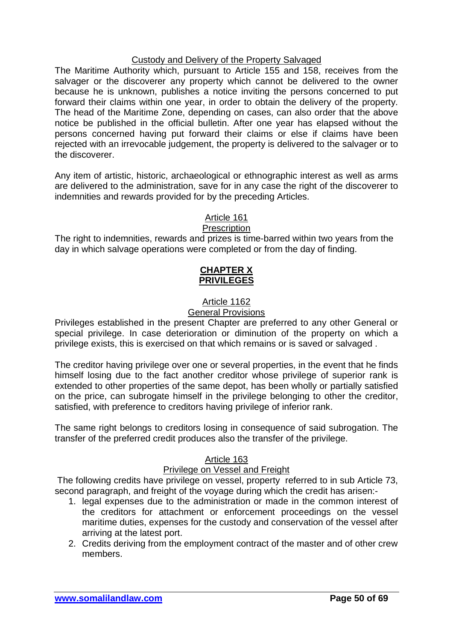### Custody and Delivery of the Property Salvaged

The Maritime Authority which, pursuant to Article 155 and 158, receives from the salvager or the discoverer any property which cannot be delivered to the owner because he is unknown, publishes a notice inviting the persons concerned to put forward their claims within one year, in order to obtain the delivery of the property. The head of the Maritime Zone, depending on cases, can also order that the above notice be published in the official bulletin. After one year has elapsed without the persons concerned having put forward their claims or else if claims have been rejected with an irrevocable judgement, the property is delivered to the salvager or to the discoverer.

Any item of artistic, historic, archaeological or ethnographic interest as well as arms are delivered to the administration, save for in any case the right of the discoverer to indemnities and rewards provided for by the preceding Articles.

# Article 161

#### **Prescription**

The right to indemnities, rewards and prizes is time-barred within two years from the day in which salvage operations were completed or from the day of finding.

### **CHAPTER X PRIVILEGES**

# Article 1162

### General Provisions

Privileges established in the present Chapter are preferred to any other General or special privilege. In case deterioration or diminution of the property on which a privilege exists, this is exercised on that which remains or is saved or salvaged .

The creditor having privilege over one or several properties, in the event that he finds himself losing due to the fact another creditor whose privilege of superior rank is extended to other properties of the same depot, has been wholly or partially satisfied on the price, can subrogate himself in the privilege belonging to other the creditor, satisfied, with preference to creditors having privilege of inferior rank.

The same right belongs to creditors losing in consequence of said subrogation. The transfer of the preferred credit produces also the transfer of the privilege.

### Article 163

### Privilege on Vessel and Freight

The following credits have privilege on vessel, property referred to in sub Article 73, second paragraph, and freight of the voyage during which the credit has arisen:-

- 1. legal expenses due to the administration or made in the common interest of the creditors for attachment or enforcement proceedings on the vessel maritime duties, expenses for the custody and conservation of the vessel after arriving at the latest port.
- 2. Credits deriving from the employment contract of the master and of other crew members.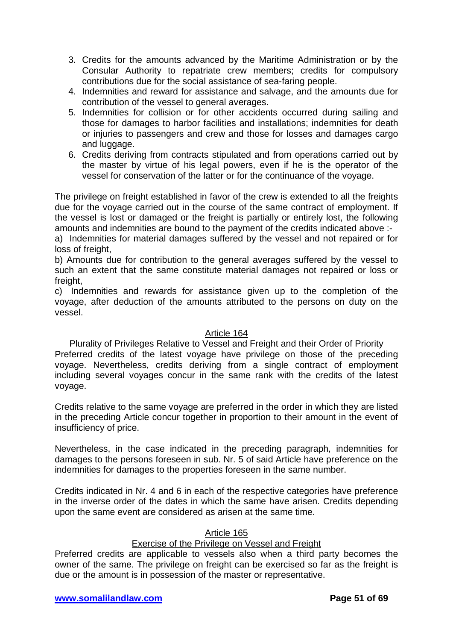- 3. Credits for the amounts advanced by the Maritime Administration or by the Consular Authority to repatriate crew members; credits for compulsory contributions due for the social assistance of sea-faring people.
- 4. Indemnities and reward for assistance and salvage, and the amounts due for contribution of the vessel to general averages.
- 5. Indemnities for collision or for other accidents occurred during sailing and those for damages to harbor facilities and installations; indemnities for death or injuries to passengers and crew and those for losses and damages cargo and luggage.
- 6. Credits deriving from contracts stipulated and from operations carried out by the master by virtue of his legal powers, even if he is the operator of the vessel for conservation of the latter or for the continuance of the voyage.

The privilege on freight established in favor of the crew is extended to all the freights due for the voyage carried out in the course of the same contract of employment. If the vessel is lost or damaged or the freight is partially or entirely lost, the following amounts and indemnities are bound to the payment of the credits indicated above :-

a) Indemnities for material damages suffered by the vessel and not repaired or for loss of freight,

b) Amounts due for contribution to the general averages suffered by the vessel to such an extent that the same constitute material damages not repaired or loss or freight.

c) Indemnities and rewards for assistance given up to the completion of the voyage, after deduction of the amounts attributed to the persons on duty on the vessel.

### Article 164

# Plurality of Privileges Relative to Vessel and Freight and their Order of Priority

Preferred credits of the latest voyage have privilege on those of the preceding voyage. Nevertheless, credits deriving from a single contract of employment including several voyages concur in the same rank with the credits of the latest voyage.

Credits relative to the same voyage are preferred in the order in which they are listed in the preceding Article concur together in proportion to their amount in the event of insufficiency of price.

Nevertheless, in the case indicated in the preceding paragraph, indemnities for damages to the persons foreseen in sub. Nr. 5 of said Article have preference on the indemnities for damages to the properties foreseen in the same number.

Credits indicated in Nr. 4 and 6 in each of the respective categories have preference in the inverse order of the dates in which the same have arisen. Credits depending upon the same event are considered as arisen at the same time.

### Article 165

### Exercise of the Privilege on Vessel and Freight

Preferred credits are applicable to vessels also when a third party becomes the owner of the same. The privilege on freight can be exercised so far as the freight is due or the amount is in possession of the master or representative.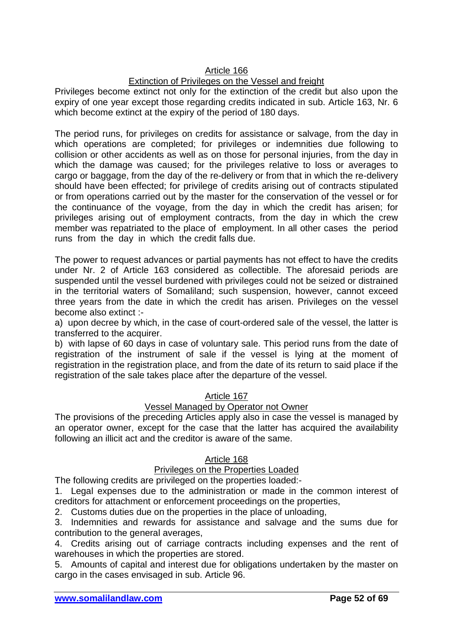### Article 166

# Extinction of Privileges on the Vessel and freight

Privileges become extinct not only for the extinction of the credit but also upon the expiry of one year except those regarding credits indicated in sub. Article 163, Nr. 6 which become extinct at the expiry of the period of 180 days.

The period runs, for privileges on credits for assistance or salvage, from the day in which operations are completed; for privileges or indemnities due following to collision or other accidents as well as on those for personal injuries, from the day in which the damage was caused; for the privileges relative to loss or averages to cargo or baggage, from the day of the re-delivery or from that in which the re-delivery should have been effected; for privilege of credits arising out of contracts stipulated or from operations carried out by the master for the conservation of the vessel or for the continuance of the voyage, from the day in which the credit has arisen; for privileges arising out of employment contracts, from the day in which the crew member was repatriated to the place of employment. In all other cases the period runs from the day in which the credit falls due.

The power to request advances or partial payments has not effect to have the credits under Nr. 2 of Article 163 considered as collectible. The aforesaid periods are suspended until the vessel burdened with privileges could not be seized or distrained in the territorial waters of Somaliland; such suspension, however, cannot exceed three years from the date in which the credit has arisen. Privileges on the vessel become also extinct :-

a) upon decree by which, in the case of court-ordered sale of the vessel, the latter is transferred to the acquirer.

b) with lapse of 60 days in case of voluntary sale. This period runs from the date of registration of the instrument of sale if the vessel is lying at the moment of registration in the registration place, and from the date of its return to said place if the registration of the sale takes place after the departure of the vessel.

### Article 167

### Vessel Managed by Operator not Owner

The provisions of the preceding Articles apply also in case the vessel is managed by an operator owner, except for the case that the latter has acquired the availability following an illicit act and the creditor is aware of the same.

### Article 168

### Privileges on the Properties Loaded

The following credits are privileged on the properties loaded:-

1. Legal expenses due to the administration or made in the common interest of creditors for attachment or enforcement proceedings on the properties,

2. Customs duties due on the properties in the place of unloading,

3. Indemnities and rewards for assistance and salvage and the sums due for contribution to the general averages,

4. Credits arising out of carriage contracts including expenses and the rent of warehouses in which the properties are stored.

5. Amounts of capital and interest due for obligations undertaken by the master on cargo in the cases envisaged in sub. Article 96.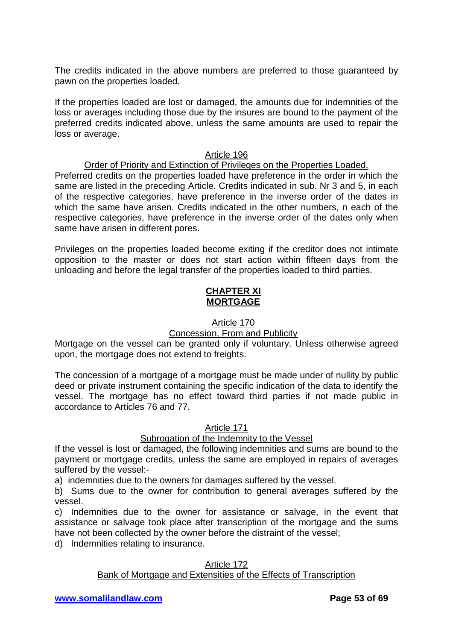The credits indicated in the above numbers are preferred to those guaranteed by pawn on the properties loaded.

If the properties loaded are lost or damaged, the amounts due for indemnities of the loss or averages including those due by the insures are bound to the payment of the preferred credits indicated above, unless the same amounts are used to repair the loss or average.

### Article 196

### Order of Priority and Extinction of Privileges on the Properties Loaded.

Preferred credits on the properties loaded have preference in the order in which the same are listed in the preceding Article. Credits indicated in sub. Nr 3 and 5, in each of the respective categories, have preference in the inverse order of the dates in which the same have arisen. Credits indicated in the other numbers, n each of the respective categories, have preference in the inverse order of the dates only when same have arisen in different pores.

Privileges on the properties loaded become exiting if the creditor does not intimate opposition to the master or does not start action within fifteen days from the unloading and before the legal transfer of the properties loaded to third parties.

### **CHAPTER XI MORTGAGE**

### Article 170

### Concession, From and Publicity

Mortgage on the vessel can be granted only if voluntary. Unless otherwise agreed upon, the mortgage does not extend to freights.

The concession of a mortgage of a mortgage must be made under of nullity by public deed or private instrument containing the specific indication of the data to identify the vessel. The mortgage has no effect toward third parties if not made public in accordance to Articles 76 and 77.

#### Article 171

### Subrogation of the Indemnity to the Vessel

If the vessel is lost or damaged, the following indemnities and sums are bound to the payment or mortgage credits, unless the same are employed in repairs of averages suffered by the vessel:-

a) indemnities due to the owners for damages suffered by the vessel.

b) Sums due to the owner for contribution to general averages suffered by the vessel.

c) Indemnities due to the owner for assistance or salvage, in the event that assistance or salvage took place after transcription of the mortgage and the sums have not been collected by the owner before the distraint of the vessel;

d) Indemnities relating to insurance.

# Article 172

# **Bank of Mortgage and Extensities of the Effects of Transcription**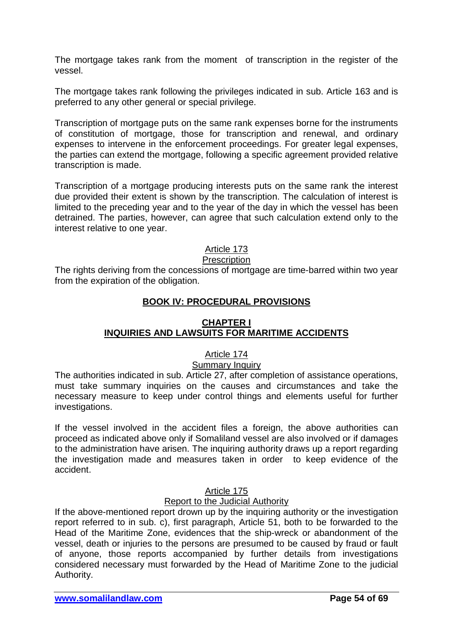The mortgage takes rank from the moment of transcription in the register of the vessel.

The mortgage takes rank following the privileges indicated in sub. Article 163 and is preferred to any other general or special privilege.

Transcription of mortgage puts on the same rank expenses borne for the instruments of constitution of mortgage, those for transcription and renewal, and ordinary expenses to intervene in the enforcement proceedings. For greater legal expenses, the parties can extend the mortgage, following a specific agreement provided relative transcription is made.

Transcription of a mortgage producing interests puts on the same rank the interest due provided their extent is shown by the transcription. The calculation of interest is limited to the preceding year and to the year of the day in which the vessel has been detrained. The parties, however, can agree that such calculation extend only to the interest relative to one year.

### Article 173

#### **Prescription**

The rights deriving from the concessions of mortgage are time-barred within two year from the expiration of the obligation.

### **BOOK IV: PROCEDURAL PROVISIONS**

### **CHAPTER I INQUIRIES AND LAWSUITS FOR MARITIME ACCIDENTS**

### Article 174

### Summary Inquiry

The authorities indicated in sub. Article 27, after completion of assistance operations, must take summary inquiries on the causes and circumstances and take the necessary measure to keep under control things and elements useful for further investigations.

If the vessel involved in the accident files a foreign, the above authorities can proceed as indicated above only if Somaliland vessel are also involved or if damages to the administration have arisen. The inquiring authority draws up a report regarding the investigation made and measures taken in order to keep evidence of the accident.

### Article 175

### Report to the Judicial Authority

If the above-mentioned report drown up by the inquiring authority or the investigation report referred to in sub. c), first paragraph, Article 51, both to be forwarded to the Head of the Maritime Zone, evidences that the ship-wreck or abandonment of the vessel, death or injuries to the persons are presumed to be caused by fraud or fault of anyone, those reports accompanied by further details from investigations considered necessary must forwarded by the Head of Maritime Zone to the judicial Authority.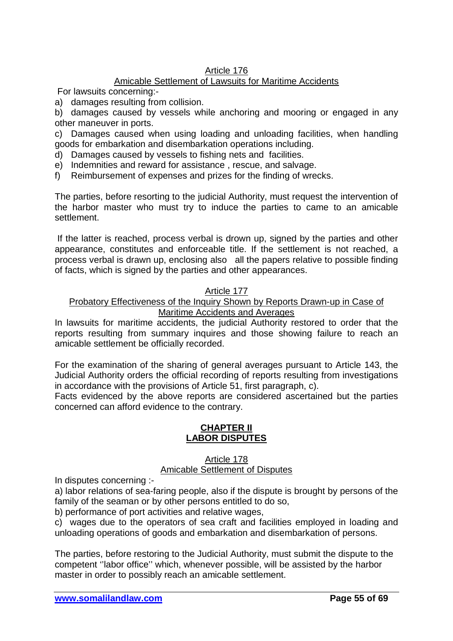# Article 176

# Amicable Settlement of Lawsuits for Maritime Accidents

For lawsuits concerning:-

a) damages resulting from collision.

b) damages caused by vessels while anchoring and mooring or engaged in any other maneuver in ports.

c) Damages caused when using loading and unloading facilities, when handling goods for embarkation and disembarkation operations including.

d) Damages caused by vessels to fishing nets and facilities.

- e) Indemnities and reward for assistance , rescue, and salvage.
- f) Reimbursement of expenses and prizes for the finding of wrecks.

The parties, before resorting to the judicial Authority, must request the intervention of the harbor master who must try to induce the parties to came to an amicable settlement.

If the latter is reached, process verbal is drown up, signed by the parties and other appearance, constitutes and enforceable title. If the settlement is not reached, a process verbal is drawn up, enclosing also all the papers relative to possible finding of facts, which is signed by the parties and other appearances.

### Article 177

### Probatory Effectiveness of the Inquiry Shown by Reports Drawn-up in Case of Maritime Accidents and Averages

In lawsuits for maritime accidents, the judicial Authority restored to order that the reports resulting from summary inquires and those showing failure to reach an amicable settlement be officially recorded.

For the examination of the sharing of general averages pursuant to Article 143, the Judicial Authority orders the official recording of reports resulting from investigations in accordance with the provisions of Article 51, first paragraph, c).

Facts evidenced by the above reports are considered ascertained but the parties concerned can afford evidence to the contrary.

### **CHAPTER II LABOR DISPUTES**

#### Article 178 Amicable Settlement of Disputes

In disputes concerning :-

a) labor relations of sea-faring people, also if the dispute is brought by persons of the family of the seaman or by other persons entitled to do so,

b) performance of port activities and relative wages,

c) wages due to the operators of sea craft and facilities employed in loading and unloading operations of goods and embarkation and disembarkation of persons.

The parties, before restoring to the Judicial Authority, must submit the dispute to the competent ''labor office'' which, whenever possible, will be assisted by the harbor master in order to possibly reach an amicable settlement.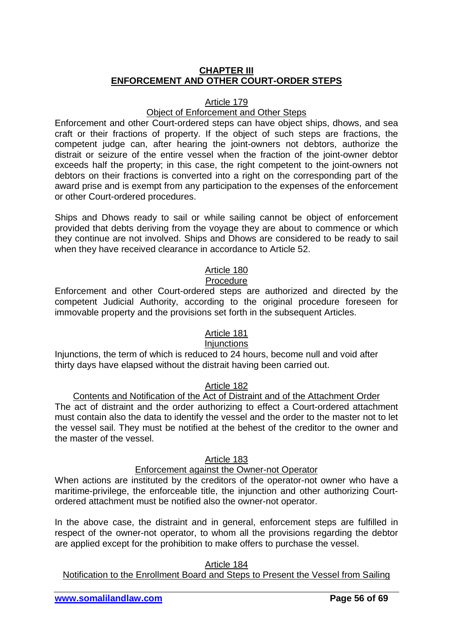### **CHAPTER III ENFORCEMENT AND OTHER COURT-ORDER STEPS**

### Article 179

### Object of Enforcement and Other Steps

Enforcement and other Court-ordered steps can have object ships, dhows, and sea craft or their fractions of property. If the object of such steps are fractions, the competent judge can, after hearing the joint-owners not debtors, authorize the distrait or seizure of the entire vessel when the fraction of the joint-owner debtor exceeds half the property; in this case, the right competent to the joint-owners not debtors on their fractions is converted into a right on the corresponding part of the award prise and is exempt from any participation to the expenses of the enforcement or other Court-ordered procedures.

Ships and Dhows ready to sail or while sailing cannot be object of enforcement provided that debts deriving from the voyage they are about to commence or which they continue are not involved. Ships and Dhows are considered to be ready to sail when they have received clearance in accordance to Article 52.

# Article 180

# Procedure

Enforcement and other Court-ordered steps are authorized and directed by the competent Judicial Authority, according to the original procedure foreseen for immovable property and the provisions set forth in the subsequent Articles.

# Article 181

### **Injunctions**

Injunctions, the term of which is reduced to 24 hours, become null and void after thirty days have elapsed without the distrait having been carried out.

### Article 182

# Contents and Notification of the Act of Distraint and of the Attachment Order

The act of distraint and the order authorizing to effect a Court-ordered attachment must contain also the data to identify the vessel and the order to the master not to let the vessel sail. They must be notified at the behest of the creditor to the owner and the master of the vessel.

### Article 183

### Enforcement against the Owner-not Operator

When actions are instituted by the creditors of the operator-not owner who have a maritime-privilege, the enforceable title, the injunction and other authorizing Courtordered attachment must be notified also the owner-not operator.

In the above case, the distraint and in general, enforcement steps are fulfilled in respect of the owner-not operator, to whom all the provisions regarding the debtor are applied except for the prohibition to make offers to purchase the vessel.

### Article 184

### Notification to the Enrollment Board and Steps to Present the Vessel from Sailing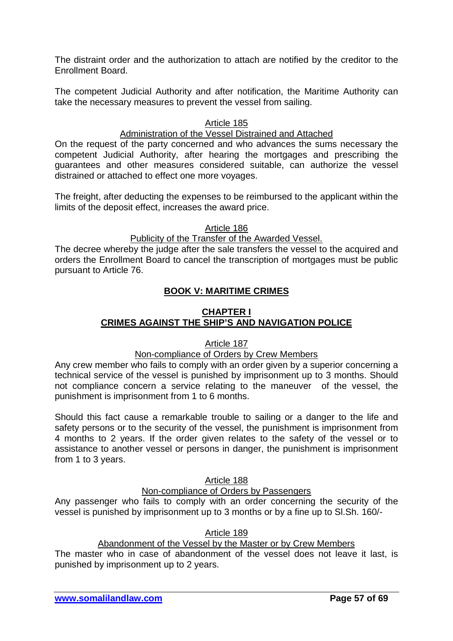The distraint order and the authorization to attach are notified by the creditor to the Enrollment Board.

The competent Judicial Authority and after notification, the Maritime Authority can take the necessary measures to prevent the vessel from sailing.

### Article 185

### Administration of the Vessel Distrained and Attached

On the request of the party concerned and who advances the sums necessary the competent Judicial Authority, after hearing the mortgages and prescribing the guarantees and other measures considered suitable, can authorize the vessel distrained or attached to effect one more voyages.

The freight, after deducting the expenses to be reimbursed to the applicant within the limits of the deposit effect, increases the award price.

#### Article 186

#### Publicity of the Transfer of the Awarded Vessel.

The decree whereby the judge after the sale transfers the vessel to the acquired and orders the Enrollment Board to cancel the transcription of mortgages must be public pursuant to Article 76.

### **BOOK V: MARITIME CRIMES**

# **CHAPTER I CRIMES AGAINST THE SHIP'S AND NAVIGATION POLICE**

### Article 187

### Non-compliance of Orders by Crew Members

Any crew member who fails to comply with an order given by a superior concerning a technical service of the vessel is punished by imprisonment up to 3 months. Should not compliance concern a service relating to the maneuver of the vessel, the punishment is imprisonment from 1 to 6 months.

Should this fact cause a remarkable trouble to sailing or a danger to the life and safety persons or to the security of the vessel, the punishment is imprisonment from 4 months to 2 years. If the order given relates to the safety of the vessel or to assistance to another vessel or persons in danger, the punishment is imprisonment from 1 to 3 years.

### Article 188

### Non-compliance of Orders by Passengers

Any passenger who fails to comply with an order concerning the security of the vessel is punished by imprisonment up to 3 months or by a fine up to Sl.Sh. 160/-

#### Article 189

### Abandonment of the Vessel by the Master or by Crew Members

The master who in case of abandonment of the vessel does not leave it last, is punished by imprisonment up to 2 years.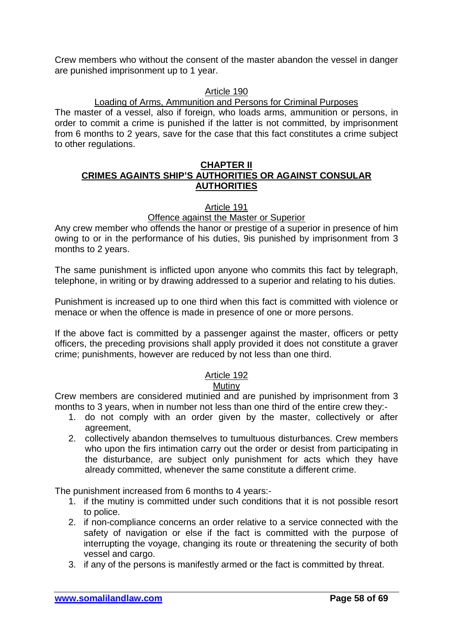Crew members who without the consent of the master abandon the vessel in danger are punished imprisonment up to 1 year.

### Article 190

### Loading of Arms, Ammunition and Persons for Criminal Purposes

The master of a vessel, also if foreign, who loads arms, ammunition or persons, in order to commit a crime is punished if the latter is not committed, by imprisonment from 6 months to 2 years, save for the case that this fact constitutes a crime subject to other regulations.

#### **CHAPTER II CRIMES AGAINTS SHIP'S AUTHORITIES OR AGAINST CONSULAR AUTHORITIES**

### Article 191

### Offence against the Master or Superior

Any crew member who offends the hanor or prestige of a superior in presence of him owing to or in the performance of his duties, 9is punished by imprisonment from 3 months to 2 years.

The same punishment is inflicted upon anyone who commits this fact by telegraph, telephone, in writing or by drawing addressed to a superior and relating to his duties.

Punishment is increased up to one third when this fact is committed with violence or menace or when the offence is made in presence of one or more persons.

If the above fact is committed by a passenger against the master, officers or petty officers, the preceding provisions shall apply provided it does not constitute a graver crime; punishments, however are reduced by not less than one third.

# Article 192

### **Mutiny**

Crew members are considered mutinied and are punished by imprisonment from 3 months to 3 years, when in number not less than one third of the entire crew they:-

- 1. do not comply with an order given by the master, collectively or after agreement,
- 2. collectively abandon themselves to tumultuous disturbances. Crew members who upon the firs intimation carry out the order or desist from participating in the disturbance, are subject only punishment for acts which they have already committed, whenever the same constitute a different crime.

The punishment increased from 6 months to 4 years:-

- 1. if the mutiny is committed under such conditions that it is not possible resort to police.
- 2. if non-compliance concerns an order relative to a service connected with the safety of navigation or else if the fact is committed with the purpose of interrupting the voyage, changing its route or threatening the security of both vessel and cargo.
- 3. if any of the persons is manifestly armed or the fact is committed by threat.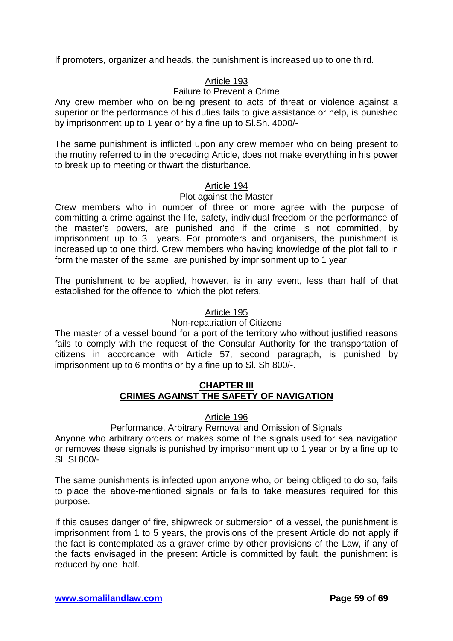If promoters, organizer and heads, the punishment is increased up to one third.

# Article 193

### Failure to Prevent a Crime

Any crew member who on being present to acts of threat or violence against a superior or the performance of his duties fails to give assistance or help, is punished by imprisonment up to 1 year or by a fine up to Sl.Sh. 4000/-

The same punishment is inflicted upon any crew member who on being present to the mutiny referred to in the preceding Article, does not make everything in his power to break up to meeting or thwart the disturbance.

### Article 194

### Plot against the Master

Crew members who in number of three or more agree with the purpose of committing a crime against the life, safety, individual freedom or the performance of the master's powers, are punished and if the crime is not committed, by imprisonment up to 3 years. For promoters and organisers, the punishment is increased up to one third. Crew members who having knowledge of the plot fall to in form the master of the same, are punished by imprisonment up to 1 year.

The punishment to be applied, however, is in any event, less than half of that established for the offence to which the plot refers.

### Article 195

### Non-repatriation of Citizens

The master of a vessel bound for a port of the territory who without justified reasons fails to comply with the request of the Consular Authority for the transportation of citizens in accordance with Article 57, second paragraph, is punished by imprisonment up to 6 months or by a fine up to Sl. Sh 800/-.

### **CHAPTER III CRIMES AGAINST THE SAFETY OF NAVIGATION**

### Article 196

### Performance, Arbitrary Removal and Omission of Signals

Anyone who arbitrary orders or makes some of the signals used for sea navigation or removes these signals is punished by imprisonment up to 1 year or by a fine up to Sl. Sl 800/-

The same punishments is infected upon anyone who, on being obliged to do so, fails to place the above-mentioned signals or fails to take measures required for this purpose.

If this causes danger of fire, shipwreck or submersion of a vessel, the punishment is imprisonment from 1 to 5 years, the provisions of the present Article do not apply if the fact is contemplated as a graver crime by other provisions of the Law, if any of the facts envisaged in the present Article is committed by fault, the punishment is reduced by one half.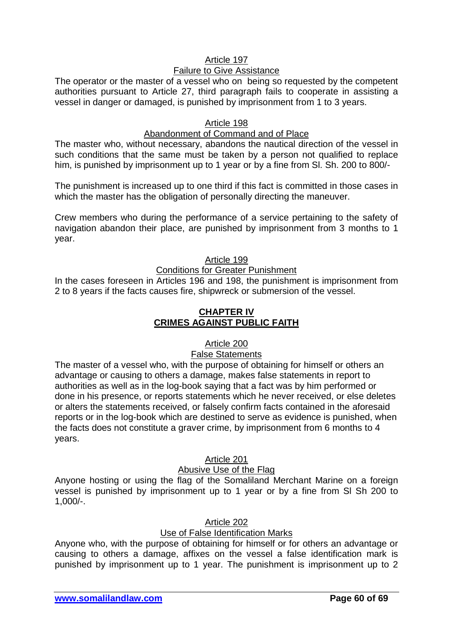# Article 197

### Failure to Give Assistance

The operator or the master of a vessel who on being so requested by the competent authorities pursuant to Article 27, third paragraph fails to cooperate in assisting a vessel in danger or damaged, is punished by imprisonment from 1 to 3 years.

### Article 198

### Abandonment of Command and of Place

The master who, without necessary, abandons the nautical direction of the vessel in such conditions that the same must be taken by a person not qualified to replace him, is punished by imprisonment up to 1 year or by a fine from Sl. Sh. 200 to 800/-

The punishment is increased up to one third if this fact is committed in those cases in which the master has the obligation of personally directing the maneuver.

Crew members who during the performance of a service pertaining to the safety of navigation abandon their place, are punished by imprisonment from 3 months to 1 year.

#### Article 199

### Conditions for Greater Punishment

In the cases foreseen in Articles 196 and 198, the punishment is imprisonment from 2 to 8 years if the facts causes fire, shipwreck or submersion of the vessel.

### **CHAPTER IV CRIMES AGAINST PUBLIC FAITH**

### Article 200

### False Statements

The master of a vessel who, with the purpose of obtaining for himself or others an advantage or causing to others a damage, makes false statements in report to authorities as well as in the log-book saying that a fact was by him performed or done in his presence, or reports statements which he never received, or else deletes or alters the statements received, or falsely confirm facts contained in the aforesaid reports or in the log-book which are destined to serve as evidence is punished, when the facts does not constitute a graver crime, by imprisonment from 6 months to 4 years.

### Article 201

### Abusive Use of the Flag

Anyone hosting or using the flag of the Somaliland Merchant Marine on a foreign vessel is punished by imprisonment up to 1 year or by a fine from Sl Sh 200 to 1,000/-.

### Article 202

### Use of False Identification Marks

Anyone who, with the purpose of obtaining for himself or for others an advantage or causing to others a damage, affixes on the vessel a false identification mark is punished by imprisonment up to 1 year. The punishment is imprisonment up to 2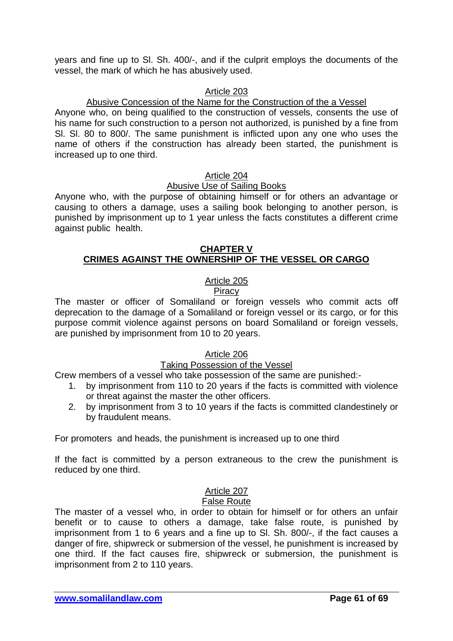years and fine up to Sl. Sh. 400/-, and if the culprit employs the documents of the vessel, the mark of which he has abusively used.

### Article 203

### Abusive Concession of the Name for the Construction of the a Vessel

Anyone who, on being qualified to the construction of vessels, consents the use of his name for such construction to a person not authorized, is punished by a fine from Sl. Sl. 80 to 800/. The same punishment is inflicted upon any one who uses the name of others if the construction has already been started, the punishment is increased up to one third.

#### Article 204

#### Abusive Use of Sailing Books

Anyone who, with the purpose of obtaining himself or for others an advantage or causing to others a damage, uses a sailing book belonging to another person, is punished by imprisonment up to 1 year unless the facts constitutes a different crime against public health.

### **CHAPTER V CRIMES AGAINST THE OWNERSHIP OF THE VESSEL OR CARGO**

# Article 205

#### **Piracy**

The master or officer of Somaliland or foreign vessels who commit acts off deprecation to the damage of a Somaliland or foreign vessel or its cargo, or for this purpose commit violence against persons on board Somaliland or foreign vessels, are punished by imprisonment from 10 to 20 years.

### Article 206

#### Taking Possession of the Vessel

Crew members of a vessel who take possession of the same are punished:-

- 1. by imprisonment from 110 to 20 years if the facts is committed with violence or threat against the master the other officers.
- 2. by imprisonment from 3 to 10 years if the facts is committed clandestinely or by fraudulent means.

For promoters and heads, the punishment is increased up to one third

If the fact is committed by a person extraneous to the crew the punishment is reduced by one third.

# Article 207

#### False Route

The master of a vessel who, in order to obtain for himself or for others an unfair benefit or to cause to others a damage, take false route, is punished by imprisonment from 1 to 6 years and a fine up to Sl. Sh. 800/-, if the fact causes a danger of fire, shipwreck or submersion of the vessel, he punishment is increased by one third. If the fact causes fire, shipwreck or submersion, the punishment is imprisonment from 2 to 110 years.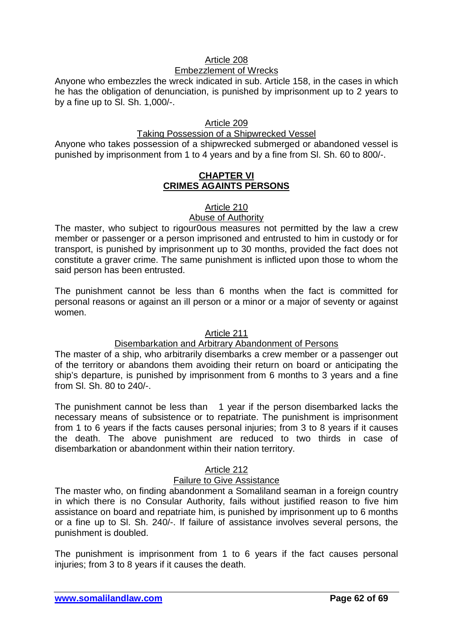### Article 208

### Embezzlement of Wrecks

Anyone who embezzles the wreck indicated in sub. Article 158, in the cases in which he has the obligation of denunciation, is punished by imprisonment up to 2 years to by a fine up to Sl. Sh. 1,000/-.

# Article 209

### Taking Possession of a Shipwrecked Vessel

Anyone who takes possession of a shipwrecked submerged or abandoned vessel is punished by imprisonment from 1 to 4 years and by a fine from Sl. Sh. 60 to 800/-.

#### **CHAPTER VI CRIMES AGAINTS PERSONS**

### Article 210

### Abuse of Authority

The master, who subject to rigour0ous measures not permitted by the law a crew member or passenger or a person imprisoned and entrusted to him in custody or for transport, is punished by imprisonment up to 30 months, provided the fact does not constitute a graver crime. The same punishment is inflicted upon those to whom the said person has been entrusted.

The punishment cannot be less than 6 months when the fact is committed for personal reasons or against an ill person or a minor or a major of seventy or against women.

### Article 211

### Disembarkation and Arbitrary Abandonment of Persons

The master of a ship, who arbitrarily disembarks a crew member or a passenger out of the territory or abandons them avoiding their return on board or anticipating the ship's departure, is punished by imprisonment from 6 months to 3 years and a fine from Sl. Sh. 80 to 240/-.

The punishment cannot be less than 1 year if the person disembarked lacks the necessary means of subsistence or to repatriate. The punishment is imprisonment from 1 to 6 years if the facts causes personal injuries; from 3 to 8 years if it causes the death. The above punishment are reduced to two thirds in case of disembarkation or abandonment within their nation territory.

### Article 212

### Failure to Give Assistance

The master who, on finding abandonment a Somaliland seaman in a foreign country in which there is no Consular Authority, fails without justified reason to five him assistance on board and repatriate him, is punished by imprisonment up to 6 months or a fine up to Sl. Sh. 240/-. If failure of assistance involves several persons, the punishment is doubled.

The punishment is imprisonment from 1 to 6 years if the fact causes personal injuries; from 3 to 8 years if it causes the death.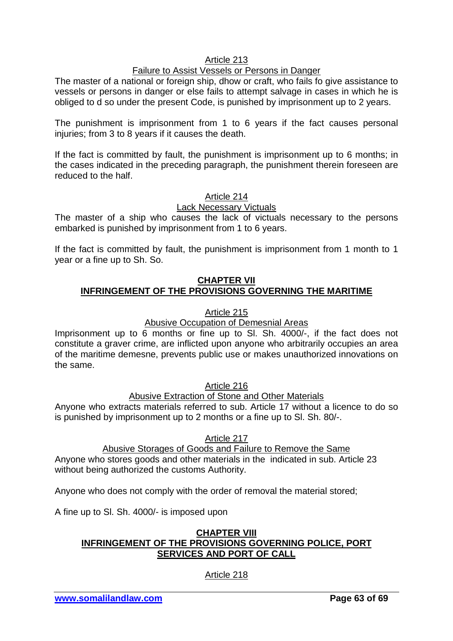### Article 213

### Failure to Assist Vessels or Persons in Danger

The master of a national or foreign ship, dhow or craft, who fails fo give assistance to vessels or persons in danger or else fails to attempt salvage in cases in which he is obliged to d so under the present Code, is punished by imprisonment up to 2 years.

The punishment is imprisonment from 1 to 6 years if the fact causes personal injuries; from 3 to 8 years if it causes the death.

If the fact is committed by fault, the punishment is imprisonment up to 6 months; in the cases indicated in the preceding paragraph, the punishment therein foreseen are reduced to the half.

### Article 214

### Lack Necessary Victuals

The master of a ship who causes the lack of victuals necessary to the persons embarked is punished by imprisonment from 1 to 6 years.

If the fact is committed by fault, the punishment is imprisonment from 1 month to 1 year or a fine up to Sh. So.

### **CHAPTER VII INFRINGEMENT OF THE PROVISIONS GOVERNING THE MARITIME**

### Article 215

### Abusive Occupation of Demesnial Areas

Imprisonment up to 6 months or fine up to Sl. Sh. 4000/-, if the fact does not constitute a graver crime, are inflicted upon anyone who arbitrarily occupies an area of the maritime demesne, prevents public use or makes unauthorized innovations on the same.

### Article 216

# Abusive Extraction of Stone and Other Materials

Anyone who extracts materials referred to sub. Article 17 without a licence to do so is punished by imprisonment up to 2 months or a fine up to Sl. Sh. 80/-.

### Article 217

# Abusive Storages of Goods and Failure to Remove the Same

Anyone who stores goods and other materials in the indicated in sub. Article 23 without being authorized the customs Authority.

Anyone who does not comply with the order of removal the material stored;

A fine up to Sl. Sh. 4000/- is imposed upon

### **CHAPTER VIII INFRINGEMENT OF THE PROVISIONS GOVERNING POLICE, PORT SERVICES AND PORT OF CALL**

# Article 218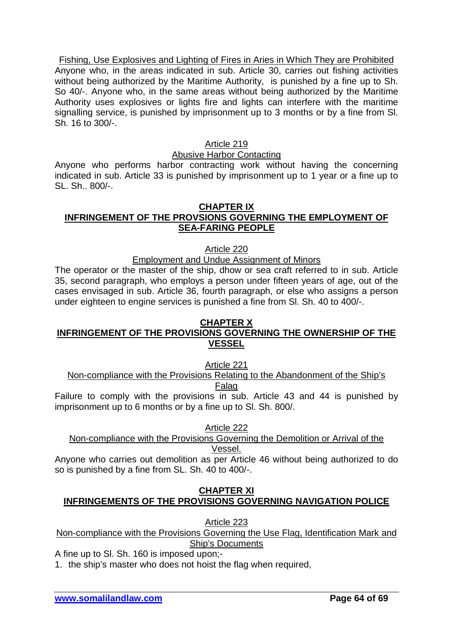Fishing, Use Explosives and Lighting of Fires in Aries in Which They are Prohibited Anyone who, in the areas indicated in sub. Article 30, carries out fishing activities without being authorized by the Maritime Authority, is punished by a fine up to Sh. So 40/-. Anyone who, in the same areas without being authorized by the Maritime Authority uses explosives or lights fire and lights can interfere with the maritime signalling service, is punished by imprisonment up to 3 months or by a fine from Sl. Sh. 16 to 300/-.

### Article 219

### Abusive Harbor Contacting

Anyone who performs harbor contracting work without having the concerning indicated in sub. Article 33 is punished by imprisonment up to 1 year or a fine up to SL. Sh.. 800/-.

#### **CHAPTER IX INFRINGEMENT OF THE PROVSIONS GOVERNING THE EMPLOYMENT OF SEA-FARING PEOPLE**

Article 220

### Employment and Undue Assignment of Minors

The operator or the master of the ship, dhow or sea craft referred to in sub. Article 35, second paragraph, who employs a person under fifteen years of age, out of the cases envisaged in sub. Article 36, fourth paragraph, or else who assigns a person under eighteen to engine services is punished a fine from Sl. Sh. 40 to 400/-.

### **CHAPTER X**

# **INFRINGEMENT OF THE PROVISIONS GOVERNING THE OWNERSHIP OF THE VESSEL**

Article 221

#### Non-compliance with the Provisions Relating to the Abandonment of the Ship's Falag

Failure to comply with the provisions in sub. Article 43 and 44 is punished by imprisonment up to 6 months or by a fine up to Sl. Sh. 800/.

Article 222

#### Non-compliance with the Provisions Governing the Demolition or Arrival of the Vessel.

Anyone who carries out demolition as per Article 46 without being authorized to do so is punished by a fine from SL. Sh. 40 to 400/-.

# **CHAPTER XI INFRINGEMENTS OF THE PROVISIONS GOVERNING NAVIGATION POLICE**

Article 223

Non-compliance with the Provisions Governing the Use Flag, Identification Mark and Ship's Documents

A fine up to Sl. Sh. 160 is imposed upon;-

1. the ship's master who does not hoist the flag when required,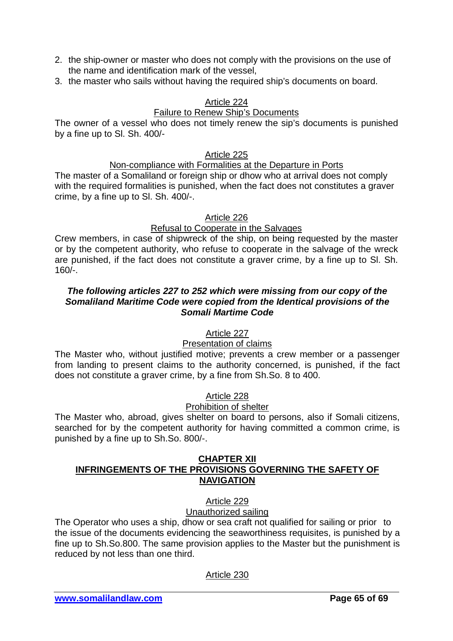- 2. the ship-owner or master who does not comply with the provisions on the use of the name and identification mark of the vessel,
- 3. the master who sails without having the required ship's documents on board.

# Article 224

# Failure to Renew Ship's Documents

The owner of a vessel who does not timely renew the sip's documents is punished by a fine up to Sl. Sh. 400/-

### Article 225

### Non-compliance with Formalities at the Departure in Ports

The master of a Somaliland or foreign ship or dhow who at arrival does not comply with the required formalities is punished, when the fact does not constitutes a graver crime, by a fine up to Sl. Sh. 400/-.

### Article 226

# Refusal to Cooperate in the Salvages

Crew members, in case of shipwreck of the ship, on being requested by the master or by the competent authority, who refuse to cooperate in the salvage of the wreck are punished, if the fact does not constitute a graver crime, by a fine up to Sl. Sh. 160/-.

### *The following articles 227 to 252 which were missing from our copy of the Somaliland Maritime Code were copied from the Identical provisions of the Somali Martime Code*

# Article 227

# Presentation of claims

The Master who, without justified motive; prevents a crew member or a passenger from landing to present claims to the authority concerned, is punished, if the fact does not constitute a graver crime, by a fine from Sh.So. 8 to 400.

# Article 228

### Prohibition of shelter

The Master who, abroad, gives shelter on board to persons, also if Somali citizens, searched for by the competent authority for having committed a common crime, is punished by a fine up to Sh.So. 800/-.

### **CHAPTER XII INFRINGEMENTS OF THE PROVISIONS GOVERNING THE SAFETY OF NAVIGATION**

### Article 229 Unauthorized sailing

The Operator who uses a ship, dhow or sea craft not qualified for sailing or prior to the issue of the documents evidencing the seaworthiness requisites, is punished by a fine up to Sh.So.800. The same provision applies to the Master but the punishment is reduced by not less than one third.

# Article 230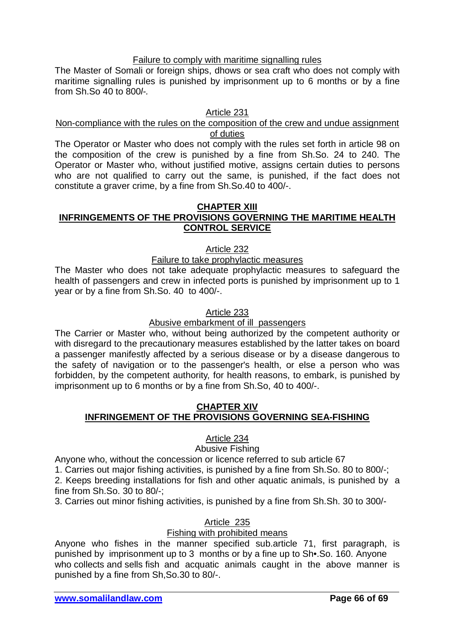### Failure to comply with maritime signalling rules

The Master of Somali or foreign ships, dhows or sea craft who does not comply with maritime signalling rules is punished by imprisonment up to 6 months or by a fine from Sh.So 40 to 800*l-.*

### Article 231

### Non-compliance with the rules on the composition of the crew and undue assignment of duties

The Operator or Master who does not comply with the rules set forth in article 98 on the composition of the crew is punished by a fine from Sh.So. 24 to 240. The Operator or Master who, without justified motive, assigns certain duties to persons who are not qualified to carry out the same, is punished, if the fact does not constitute a graver crime, by a fine from Sh.So.40 to 400/-.

#### **CHAPTER XIII**

### **INFRINGEMENTS OF THE PROVISIONS GOVERNING THE MARITIME HEALTH CONTROL SERVICE**

#### Article 232

#### Failure to take prophylactic measures

The Master who does not take adequate prophylactic measures to safeguard the health of passengers and crew in infected ports is punished by imprisonment up to 1 year or by a fine from Sh.So. 40 to 400/-.

#### Article 233

### Abusive embarkment of ill passengers

The Carrier or Master who, without being authorized by the competent authority or with disregard to the precautionary measures established by the latter takes on board a passenger manifestly affected by a serious disease or by a disease dangerous to the safety of navigation or to the passenger's health, or else a person who was forbidden, by the competent authority, for health reasons, to embark, is punished by imprisonment up to 6 months or by a fine from Sh.So, 40 to 400/-.

### **CHAPTER XIV INFRINGEMENT OF THE PROVISIONS GOVERNING SEA-FISHING**

### Article 234

#### Abusive Fishing

Anyone who, without the concession or licence referred to sub article 67

1. Carries out major fishing activities, is punished by a fine from Sh.So. 80 to 800/-;

2. Keeps breeding installations for fish and other aquatic animals, is punished by a fine from Sh.So. 30 to 80/-;

3. Carries out minor fishing activities, is punished by a fine from Sh.Sh. 30 to 300/-

# Article 235

### Fishing with prohibited means

Anyone who fishes in the manner specified sub.article 71, first paragraph, is punished by imprisonment up to 3 months or by a fine up to Sh•.So. 160. Anyone who collects and sells fish and acquatic animals caught in the above manner is punished by a fine from Sh,So.30 to 80/-.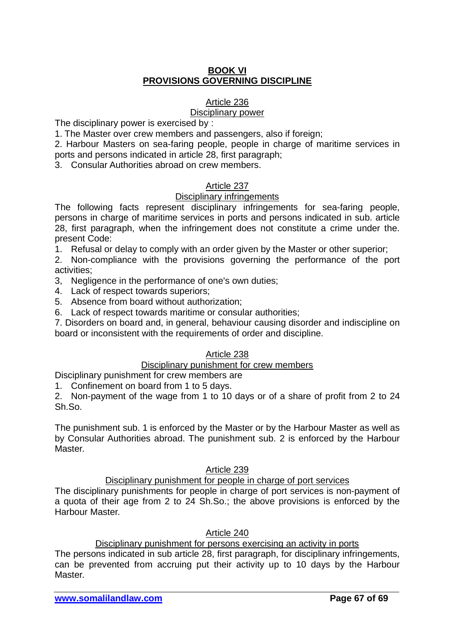### **BOOK VI PROVISIONS GOVERNING DISCIPLINE**

### Article 236

#### Disciplinary power

The disciplinary power is exercised by :

1. The Master over crew members and passengers, also if foreign;

2. Harbour Masters on sea-faring people, people in charge of maritime services in ports and persons indicated in article 28, first paragraph;

3. Consular Authorities abroad on crew members.

### Article 237

#### Disciplinary infringements

The following facts represent disciplinary infringements for sea-faring people, persons in charge of maritime services in ports and persons indicated in sub. article 28, first paragraph, when the infringement does not constitute a crime under the. present Code:

1. Refusal or delay to comply with an order given by the Master or other superior;

2. Non-compliance with the provisions governing the performance of the port activities;

- 3, Negligence in the performance of one's own duties;
- 4. Lack of respect towards superiors;
- 5. Absence from board without authorization;
- 6. Lack of respect towards maritime or consular authorities;

7. Disorders on board and, in general, behaviour causing disorder and indiscipline on board or inconsistent with the requirements of order and discipline.

### Article 238

### Disciplinary punishment for crew members

Disciplinary punishment for crew members are

1. Confinement on board from 1 to 5 days.

2. Non-payment of the wage from 1 to 10 days or of a share of profit from 2 to 24 Sh.So.

The punishment sub. 1 is enforced by the Master or by the Harbour Master as well as by Consular Authorities abroad. The punishment sub. 2 is enforced by the Harbour Master.

### Article 239

### Disciplinary punishment for people in charge of port services

The disciplinary punishments for people in charge of port services is non-payment of a quota of their age from 2 to 24 Sh.So.; the above provisions is enforced by the Harbour Master.

Article 240

Disciplinary punishment for persons exercising an activity in ports

The persons indicated in sub article 28, first paragraph, for disciplinary infringements, can be prevented from accruing put their activity up to 10 days by the Harbour Master.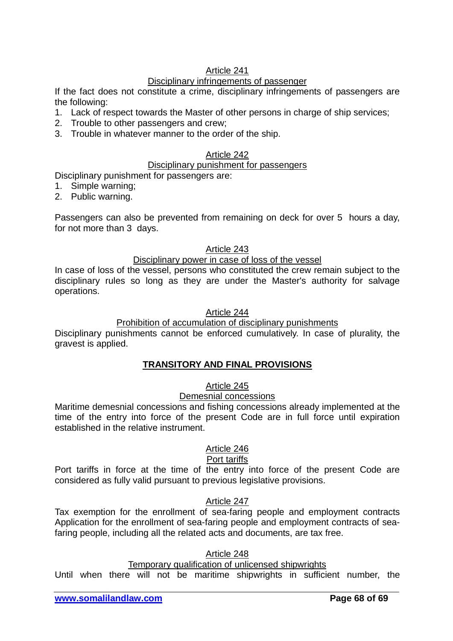# Article 241

# Disciplinary infringements of passenger

If the fact does not constitute a crime, disciplinary infringements of passengers are the following:

- 1. Lack of respect towards the Master of other persons in charge of ship services;
- 2. Trouble to other passengers and crew;
- 3. Trouble in whatever manner to the order of the ship.

# Article 242

### Disciplinary punishment for passengers

Disciplinary punishment for passengers are:

- 1. Simple warning;
- 2. Public warning.

Passengers can also be prevented from remaining on deck for over 5 hours a day, for not more than 3 days.

### Article 243

### Disciplinary power in case of loss of the vessel

In case of loss of the vessel, persons who constituted the crew remain subject to the disciplinary rules so long as they are under the Master's authority for salvage operations.

### Article 244

### Prohibition of accumulation of disciplinary punishments

Disciplinary punishments cannot be enforced cumulatively. In case of plurality, the gravest is applied.

# **TRANSITORY AND FINAL PROVISIONS**

# Article 245

# Demesnial concessions

Maritime demesnial concessions and fishing concessions already implemented at the time of the entry into force of the present Code are in full force until expiration established in the relative instrument.

### Article 246

### Port tariffs

Port tariffs in force at the time of the entry into force of the present Code are considered as fully valid pursuant to previous legislative provisions.

# Article 247

Tax exemption for the enrollment of sea-faring people and employment contracts Application for the enrollment of sea-faring people and employment contracts of seafaring people, including all the related acts and documents, are tax free.

### Article 248

### Temporary qualification of unlicensed shipwrights

Until when there will not be maritime shipwrights in sufficient number, the